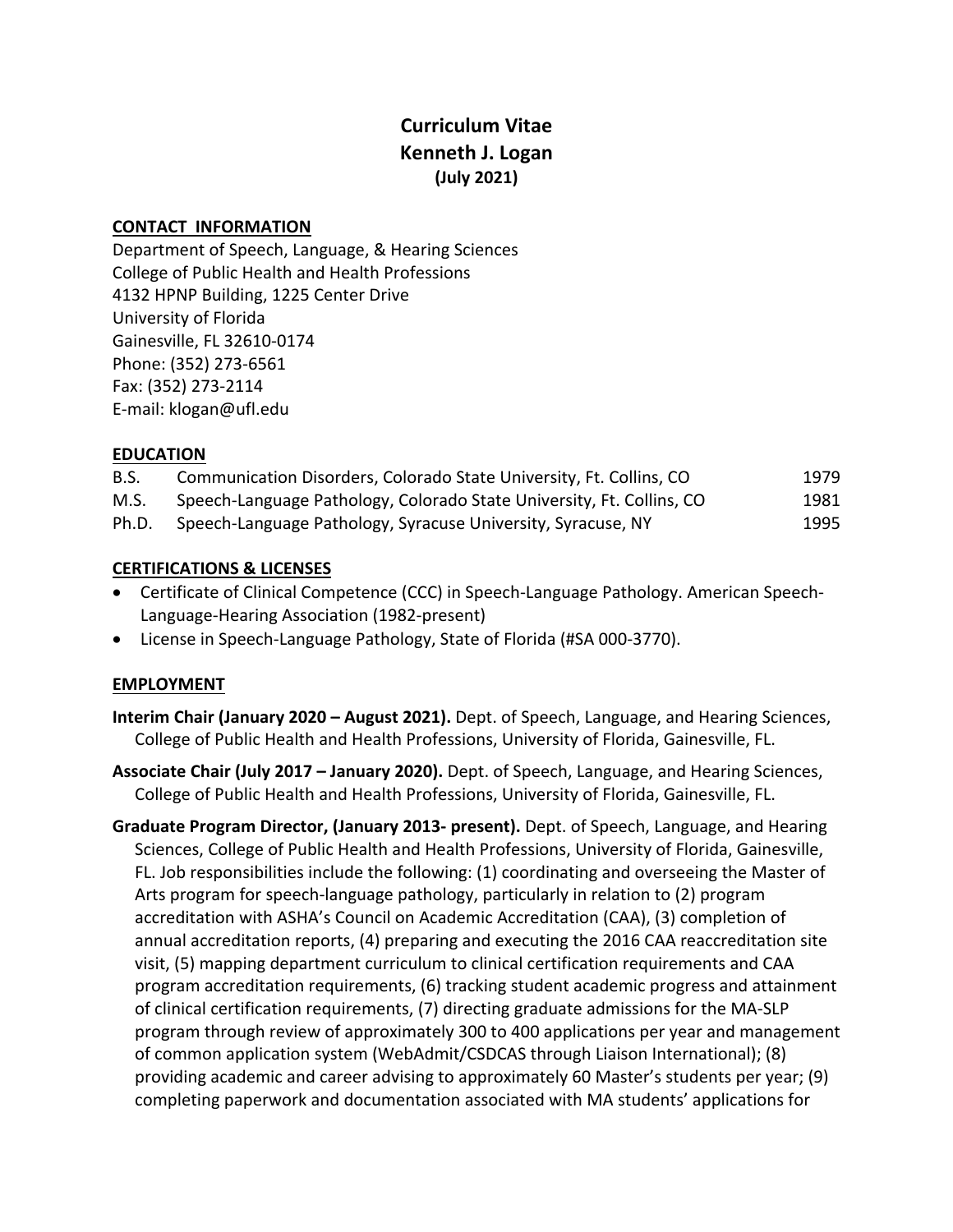# **Curriculum Vitae Kenneth J. Logan (July 2021)**

### **CONTACT INFORMATION**

Department of Speech, Language, & Hearing Sciences College of Public Health and Health Professions 4132 HPNP Building, 1225 Center Drive University of Florida Gainesville, FL 32610-0174 Phone: (352) 273-6561 Fax: (352) 273-2114 E-mail: klogan@ufl.edu

### **EDUCATION**

| B.S.  | Communication Disorders, Colorado State University, Ft. Collins, CO   | 1979 |
|-------|-----------------------------------------------------------------------|------|
| M.S.  | Speech-Language Pathology, Colorado State University, Ft. Collins, CO | 1981 |
| Ph.D. | Speech-Language Pathology, Syracuse University, Syracuse, NY          | 1995 |

### **CERTIFICATIONS & LICENSES**

- Certificate of Clinical Competence (CCC) in Speech-Language Pathology. American Speech-Language-Hearing Association (1982-present)
- License in Speech-Language Pathology, State of Florida (#SA 000-3770).

## **EMPLOYMENT**

- **Interim Chair (January 2020 – August 2021).** Dept. of Speech, Language, and Hearing Sciences, College of Public Health and Health Professions, University of Florida, Gainesville, FL.
- **Associate Chair (July 2017 – January 2020).** Dept. of Speech, Language, and Hearing Sciences, College of Public Health and Health Professions, University of Florida, Gainesville, FL.
- **Graduate Program Director, (January 2013- present).** Dept. of Speech, Language, and Hearing Sciences, College of Public Health and Health Professions, University of Florida, Gainesville, FL. Job responsibilities include the following: (1) coordinating and overseeing the Master of Arts program for speech-language pathology, particularly in relation to (2) program accreditation with ASHA's Council on Academic Accreditation (CAA), (3) completion of annual accreditation reports, (4) preparing and executing the 2016 CAA reaccreditation site visit, (5) mapping department curriculum to clinical certification requirements and CAA program accreditation requirements, (6) tracking student academic progress and attainment of clinical certification requirements, (7) directing graduate admissions for the MA-SLP program through review of approximately 300 to 400 applications per year and management of common application system (WebAdmit/CSDCAS through Liaison International); (8) providing academic and career advising to approximately 60 Master's students per year; (9) completing paperwork and documentation associated with MA students' applications for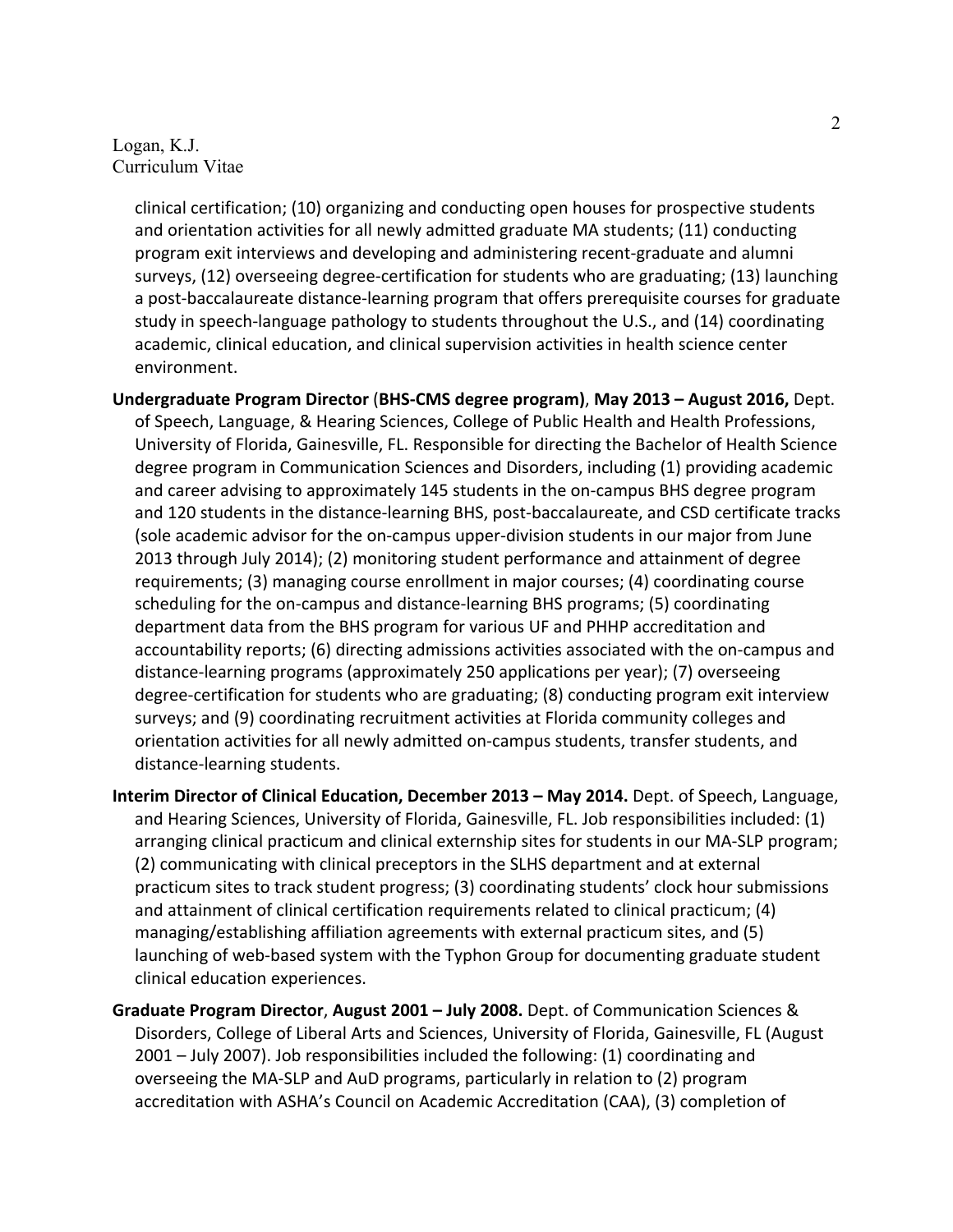clinical certification; (10) organizing and conducting open houses for prospective students and orientation activities for all newly admitted graduate MA students; (11) conducting program exit interviews and developing and administering recent-graduate and alumni surveys, (12) overseeing degree-certification for students who are graduating; (13) launching a post-baccalaureate distance-learning program that offers prerequisite courses for graduate study in speech-language pathology to students throughout the U.S., and (14) coordinating academic, clinical education, and clinical supervision activities in health science center environment.

- **Undergraduate Program Director** (**BHS-CMS degree program)**, **May 2013 – August 2016,** Dept. of Speech, Language, & Hearing Sciences, College of Public Health and Health Professions, University of Florida, Gainesville, FL. Responsible for directing the Bachelor of Health Science degree program in Communication Sciences and Disorders, including (1) providing academic and career advising to approximately 145 students in the on-campus BHS degree program and 120 students in the distance-learning BHS, post-baccalaureate, and CSD certificate tracks (sole academic advisor for the on-campus upper-division students in our major from June 2013 through July 2014); (2) monitoring student performance and attainment of degree requirements; (3) managing course enrollment in major courses; (4) coordinating course scheduling for the on-campus and distance-learning BHS programs; (5) coordinating department data from the BHS program for various UF and PHHP accreditation and accountability reports; (6) directing admissions activities associated with the on-campus and distance-learning programs (approximately 250 applications per year); (7) overseeing degree-certification for students who are graduating; (8) conducting program exit interview surveys; and (9) coordinating recruitment activities at Florida community colleges and orientation activities for all newly admitted on-campus students, transfer students, and distance-learning students.
- **Interim Director of Clinical Education, December 2013 – May 2014.** Dept. of Speech, Language, and Hearing Sciences, University of Florida, Gainesville, FL. Job responsibilities included: (1) arranging clinical practicum and clinical externship sites for students in our MA-SLP program; (2) communicating with clinical preceptors in the SLHS department and at external practicum sites to track student progress; (3) coordinating students' clock hour submissions and attainment of clinical certification requirements related to clinical practicum; (4) managing/establishing affiliation agreements with external practicum sites, and (5) launching of web-based system with the Typhon Group for documenting graduate student clinical education experiences.
- **Graduate Program Director**, **August 2001 – July 2008.** Dept. of Communication Sciences & Disorders, College of Liberal Arts and Sciences, University of Florida, Gainesville, FL (August 2001 – July 2007). Job responsibilities included the following: (1) coordinating and overseeing the MA-SLP and AuD programs, particularly in relation to (2) program accreditation with ASHA's Council on Academic Accreditation (CAA), (3) completion of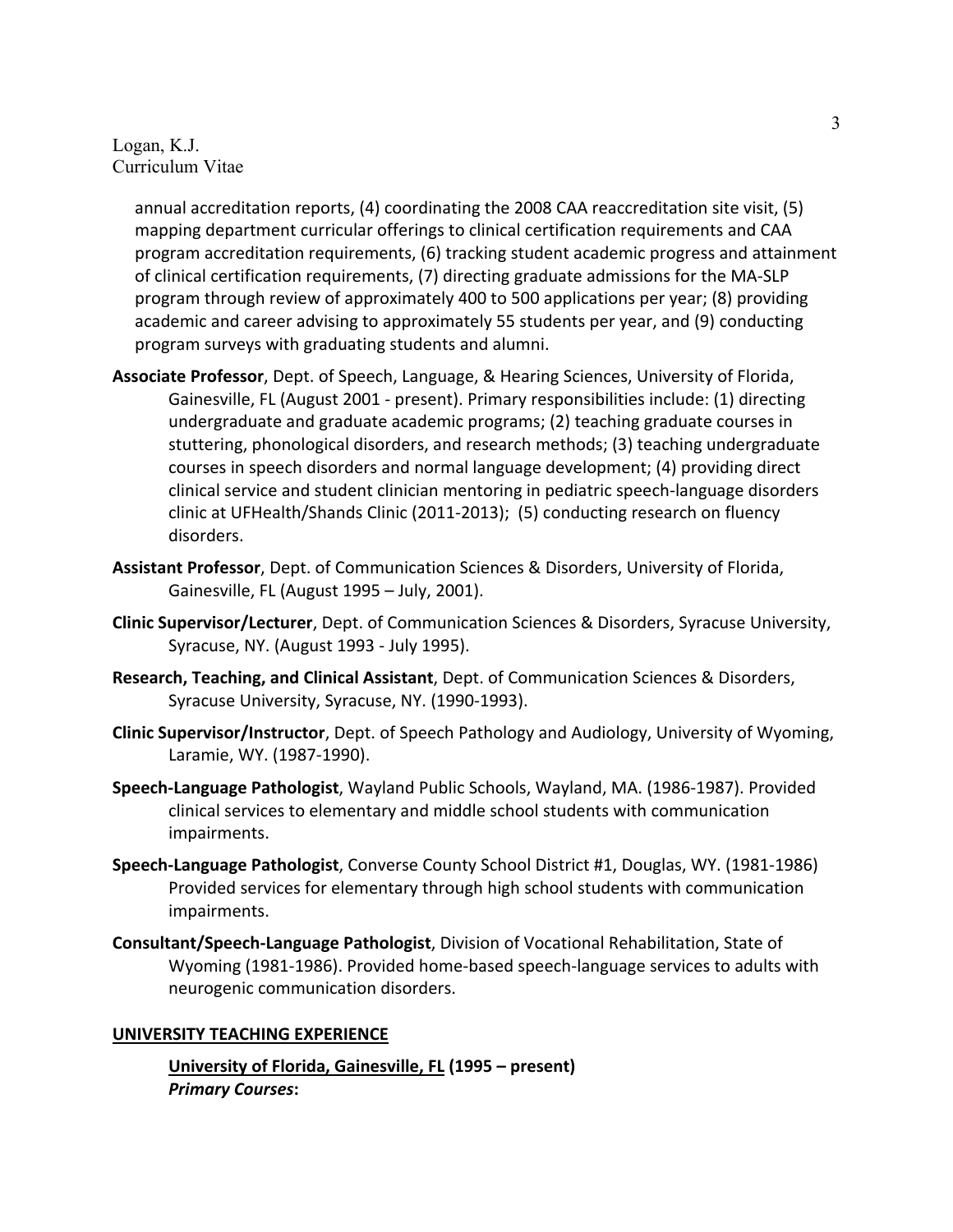annual accreditation reports, (4) coordinating the 2008 CAA reaccreditation site visit, (5) mapping department curricular offerings to clinical certification requirements and CAA program accreditation requirements, (6) tracking student academic progress and attainment of clinical certification requirements, (7) directing graduate admissions for the MA-SLP program through review of approximately 400 to 500 applications per year; (8) providing academic and career advising to approximately 55 students per year, and (9) conducting program surveys with graduating students and alumni.

- **Associate Professor**, Dept. of Speech, Language, & Hearing Sciences, University of Florida, Gainesville, FL (August 2001 - present). Primary responsibilities include: (1) directing undergraduate and graduate academic programs; (2) teaching graduate courses in stuttering, phonological disorders, and research methods; (3) teaching undergraduate courses in speech disorders and normal language development; (4) providing direct clinical service and student clinician mentoring in pediatric speech-language disorders clinic at UFHealth/Shands Clinic (2011-2013); (5) conducting research on fluency disorders.
- **Assistant Professor**, Dept. of Communication Sciences & Disorders, University of Florida, Gainesville, FL (August 1995 – July, 2001).
- **Clinic Supervisor/Lecturer**, Dept. of Communication Sciences & Disorders, Syracuse University, Syracuse, NY. (August 1993 - July 1995).
- **Research, Teaching, and Clinical Assistant**, Dept. of Communication Sciences & Disorders, Syracuse University, Syracuse, NY. (1990-1993).
- **Clinic Supervisor/Instructor**, Dept. of Speech Pathology and Audiology, University of Wyoming, Laramie, WY. (1987-1990).
- **Speech-Language Pathologist**, Wayland Public Schools, Wayland, MA. (1986-1987). Provided clinical services to elementary and middle school students with communication impairments.
- **Speech-Language Pathologist**, Converse County School District #1, Douglas, WY. (1981-1986) Provided services for elementary through high school students with communication impairments.
- **Consultant/Speech-Language Pathologist**, Division of Vocational Rehabilitation, State of Wyoming (1981-1986). Provided home-based speech-language services to adults with neurogenic communication disorders.

### **UNIVERSITY TEACHING EXPERIENCE**

**University of Florida, Gainesville, FL (1995 – present)** *Primary Courses***:**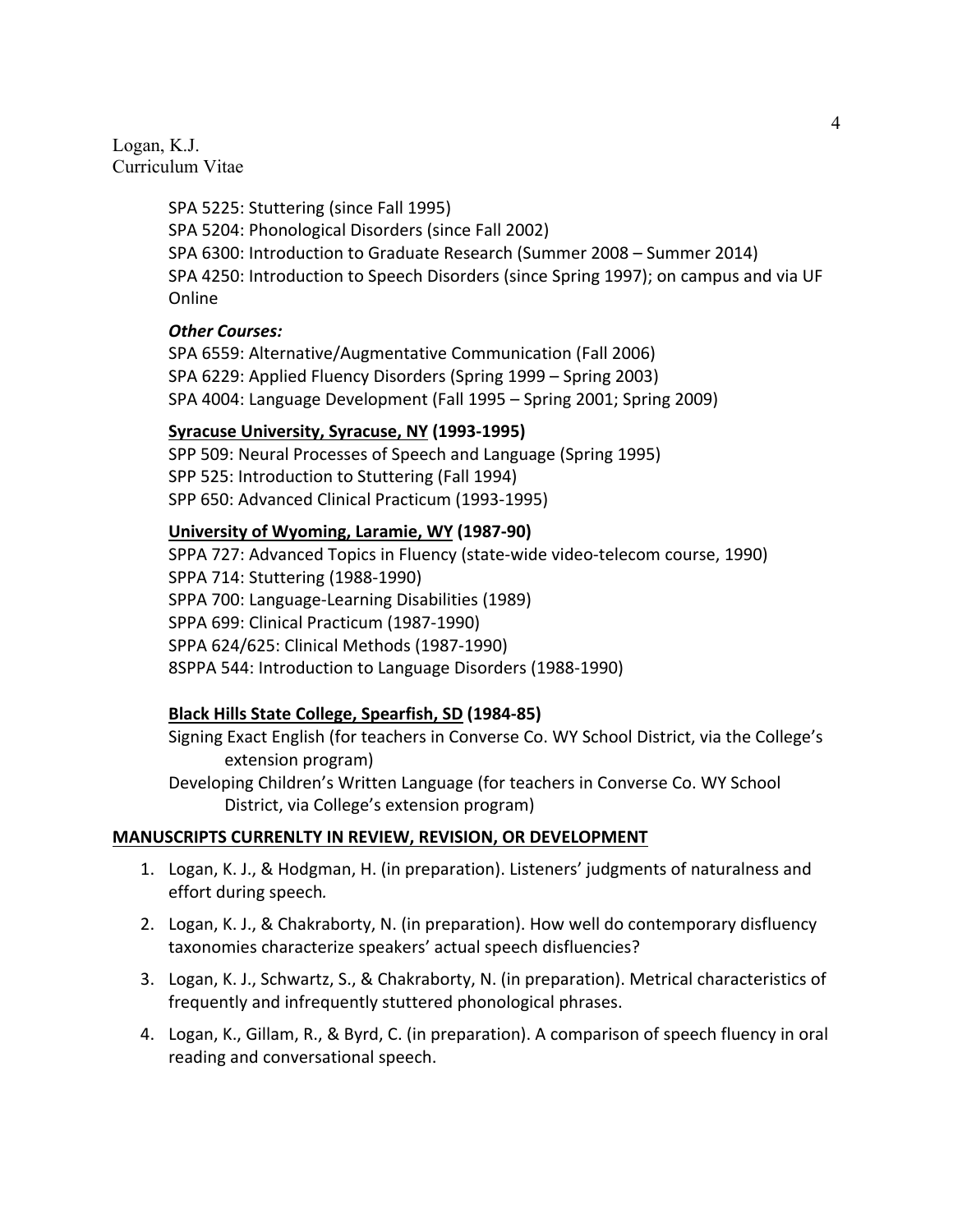> SPA 5225: Stuttering (since Fall 1995) SPA 5204: Phonological Disorders (since Fall 2002) SPA 6300: Introduction to Graduate Research (Summer 2008 – Summer 2014) SPA 4250: Introduction to Speech Disorders (since Spring 1997); on campus and via UF Online

### *Other Courses:*

SPA 6559: Alternative/Augmentative Communication (Fall 2006) SPA 6229: Applied Fluency Disorders (Spring 1999 – Spring 2003) SPA 4004: Language Development (Fall 1995 – Spring 2001; Spring 2009)

#### **Syracuse University, Syracuse, NY (1993-1995)**

SPP 509: Neural Processes of Speech and Language (Spring 1995) SPP 525: Introduction to Stuttering (Fall 1994) SPP 650: Advanced Clinical Practicum (1993-1995)

### **University of Wyoming, Laramie, WY (1987-90)**

SPPA 727: Advanced Topics in Fluency (state-wide video-telecom course, 1990) SPPA 714: Stuttering (1988-1990) SPPA 700: Language-Learning Disabilities (1989) SPPA 699: Clinical Practicum (1987-1990) SPPA 624/625: Clinical Methods (1987-1990) 8SPPA 544: Introduction to Language Disorders (1988-1990)

### **Black Hills State College, Spearfish, SD (1984-85)**

Signing Exact English (for teachers in Converse Co. WY School District, via the College's extension program)

Developing Children's Written Language (for teachers in Converse Co. WY School District, via College's extension program)

### **MANUSCRIPTS CURRENLTY IN REVIEW, REVISION, OR DEVELOPMENT**

- 1. Logan, K. J., & Hodgman, H. (in preparation). Listeners' judgments of naturalness and effort during speech*.*
- 2. Logan, K. J., & Chakraborty, N. (in preparation). How well do contemporary disfluency taxonomies characterize speakers' actual speech disfluencies?
- 3. Logan, K. J., Schwartz, S., & Chakraborty, N. (in preparation). Metrical characteristics of frequently and infrequently stuttered phonological phrases.
- 4. Logan, K., Gillam, R., & Byrd, C. (in preparation). A comparison of speech fluency in oral reading and conversational speech.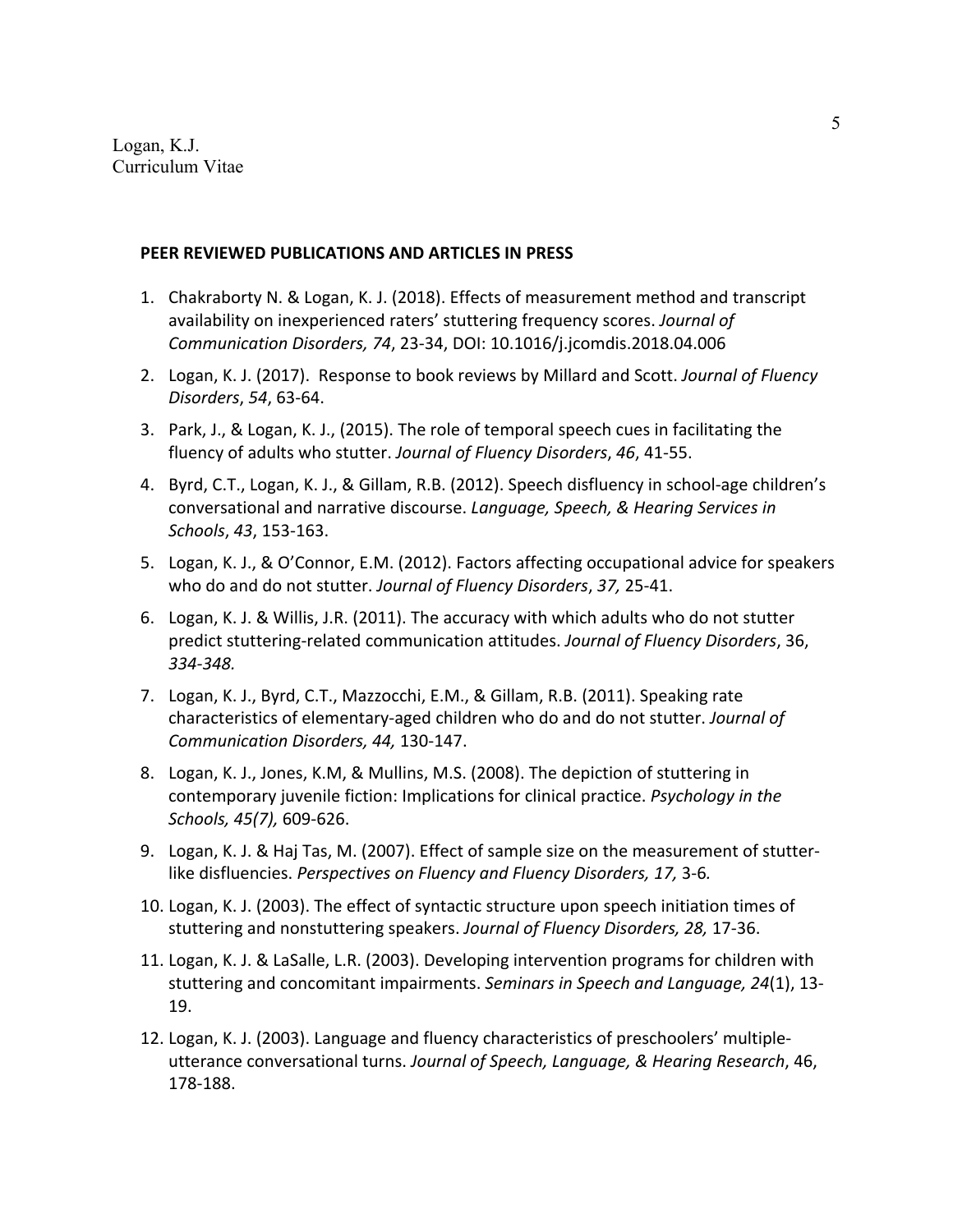#### **PEER REVIEWED PUBLICATIONS AND ARTICLES IN PRESS**

- 1. Chakraborty N. & Logan, K. J. (2018). Effects of measurement method and transcript availability on inexperienced raters' stuttering frequency scores. *Journal of Communication Disorders, 74*, 23-34, DOI: 10.1016/j.jcomdis.2018.04.006
- 2. Logan, K. J. (2017). Response to book reviews by Millard and Scott. *Journal of Fluency Disorders*, *54*, 63-64.
- 3. Park, J., & Logan, K. J., (2015). The role of temporal speech cues in facilitating the fluency of adults who stutter. *Journal of Fluency Disorders*, *46*, 41-55.
- 4. Byrd, C.T., Logan, K. J., & Gillam, R.B. (2012). Speech disfluency in school-age children's conversational and narrative discourse. *Language, Speech, & Hearing Services in Schools*, *43*, 153-163.
- 5. Logan, K. J., & O'Connor, E.M. (2012). Factors affecting occupational advice for speakers who do and do not stutter. *Journal of Fluency Disorders*, *37,* 25-41.
- 6. Logan, K. J. & Willis, J.R. (2011). The accuracy with which adults who do not stutter predict stuttering-related communication attitudes. *Journal of Fluency Disorders*, 36, *334-348.*
- 7. Logan, K. J., Byrd, C.T., Mazzocchi, E.M., & Gillam, R.B. (2011). Speaking rate characteristics of elementary-aged children who do and do not stutter. *Journal of Communication Disorders, 44,* 130-147.
- 8. Logan, K. J., Jones, K.M, & Mullins, M.S. (2008). The depiction of stuttering in contemporary juvenile fiction: Implications for clinical practice. *Psychology in the Schools, 45(7),* 609-626.
- 9. Logan, K. J. & Haj Tas, M. (2007). Effect of sample size on the measurement of stutterlike disfluencies. *Perspectives on Fluency and Fluency Disorders, 17,* 3-6*.*
- 10. Logan, K. J. (2003). The effect of syntactic structure upon speech initiation times of stuttering and nonstuttering speakers. *Journal of Fluency Disorders, 28,* 17-36.
- 11. Logan, K. J. & LaSalle, L.R. (2003). Developing intervention programs for children with stuttering and concomitant impairments. *Seminars in Speech and Language, 24*(1), 13- 19.
- 12. Logan, K. J. (2003). Language and fluency characteristics of preschoolers' multipleutterance conversational turns. *Journal of Speech, Language, & Hearing Research*, 46, 178-188.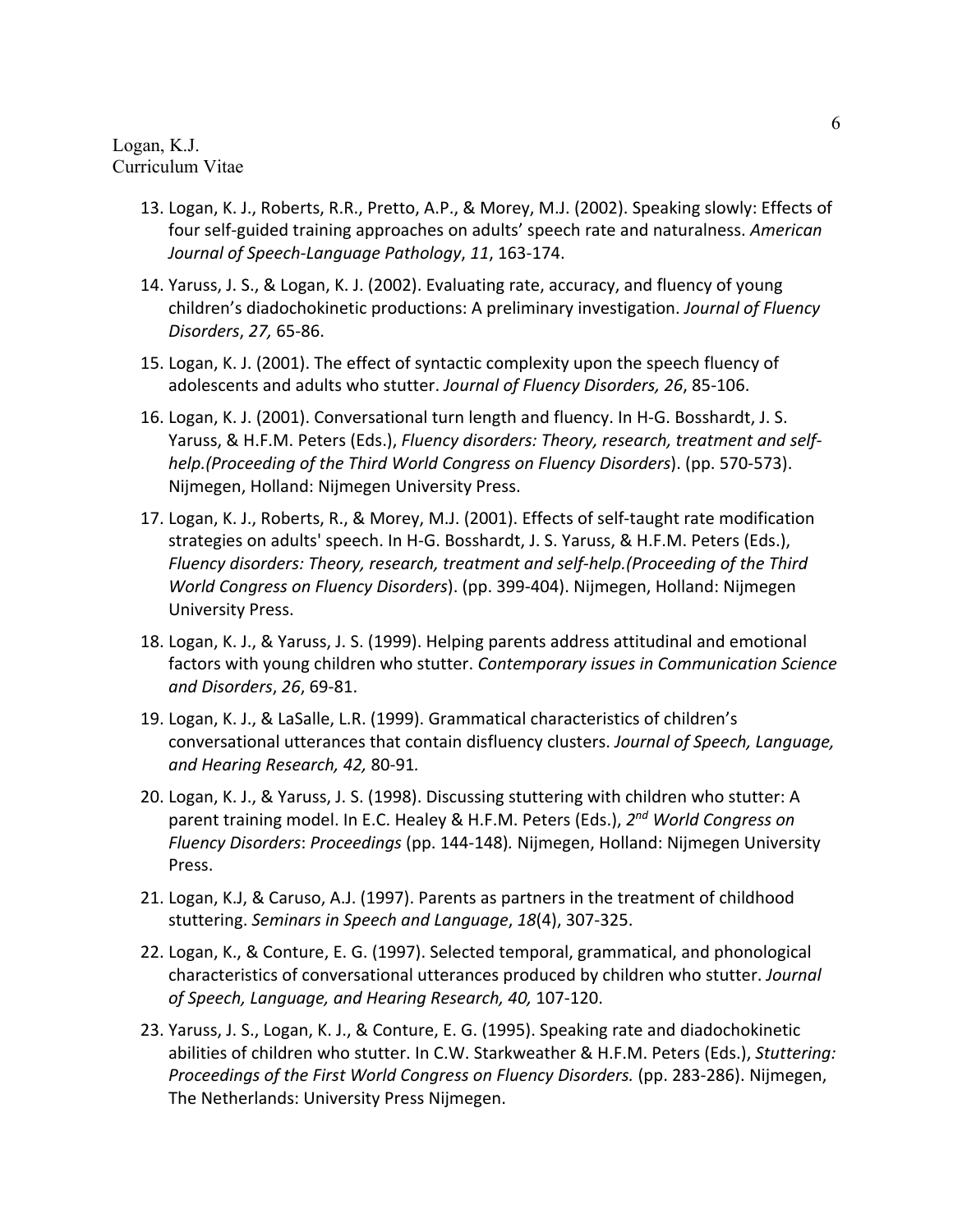- 13. Logan, K. J., Roberts, R.R., Pretto, A.P., & Morey, M.J. (2002). Speaking slowly: Effects of four self-guided training approaches on adults' speech rate and naturalness. *American Journal of Speech-Language Pathology*, *11*, 163-174.
- 14. Yaruss, J. S., & Logan, K. J. (2002). Evaluating rate, accuracy, and fluency of young children's diadochokinetic productions: A preliminary investigation. *Journal of Fluency Disorders*, *27,* 65-86.
- 15. Logan, K. J. (2001). The effect of syntactic complexity upon the speech fluency of adolescents and adults who stutter. *Journal of Fluency Disorders, 26*, 85-106.
- 16. Logan, K. J. (2001). Conversational turn length and fluency. In H-G. Bosshardt, J. S. Yaruss, & H.F.M. Peters (Eds.), *Fluency disorders: Theory, research, treatment and selfhelp.(Proceeding of the Third World Congress on Fluency Disorders*). (pp. 570-573). Nijmegen, Holland: Nijmegen University Press.
- 17. Logan, K. J., Roberts, R., & Morey, M.J. (2001). Effects of self-taught rate modification strategies on adults' speech. In H-G. Bosshardt, J. S. Yaruss, & H.F.M. Peters (Eds.), *Fluency disorders: Theory, research, treatment and self-help.(Proceeding of the Third World Congress on Fluency Disorders*). (pp. 399-404). Nijmegen, Holland: Nijmegen University Press.
- 18. Logan, K. J., & Yaruss, J. S. (1999). Helping parents address attitudinal and emotional factors with young children who stutter. *Contemporary issues in Communication Science and Disorders*, *26*, 69-81.
- 19. Logan, K. J., & LaSalle, L.R. (1999). Grammatical characteristics of children's conversational utterances that contain disfluency clusters. *Journal of Speech, Language, and Hearing Research, 42,* 80-91*.*
- 20. Logan, K. J., & Yaruss, J. S. (1998). Discussing stuttering with children who stutter: A parent training model. In E.C. Healey & H.F.M. Peters (Eds.), *2nd World Congress on Fluency Disorders*: *Proceedings* (pp. 144-148)*.* Nijmegen, Holland: Nijmegen University Press.
- 21. Logan, K.J, & Caruso, A.J. (1997). Parents as partners in the treatment of childhood stuttering. *Seminars in Speech and Language*, *18*(4), 307-325.
- 22. Logan, K., & Conture, E. G. (1997). Selected temporal, grammatical, and phonological characteristics of conversational utterances produced by children who stutter. *Journal of Speech, Language, and Hearing Research, 40,* 107-120.
- 23. Yaruss, J. S., Logan, K. J., & Conture, E. G. (1995). Speaking rate and diadochokinetic abilities of children who stutter. In C.W. Starkweather & H.F.M. Peters (Eds.), *Stuttering: Proceedings of the First World Congress on Fluency Disorders.* (pp. 283-286). Nijmegen, The Netherlands: University Press Nijmegen.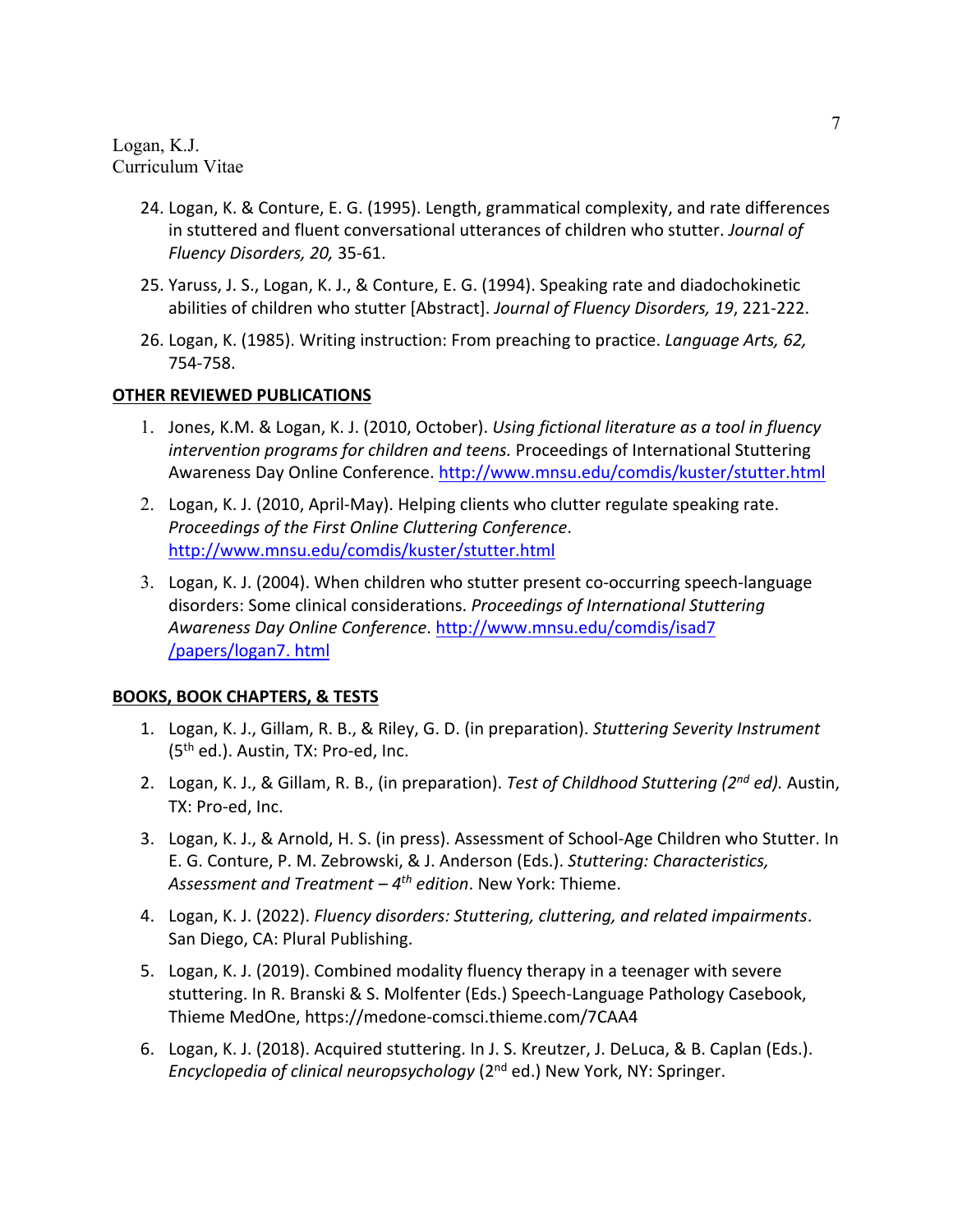- 24. Logan, K. & Conture, E. G. (1995). Length, grammatical complexity, and rate differences in stuttered and fluent conversational utterances of children who stutter. *Journal of Fluency Disorders, 20,* 35-61.
- 25. Yaruss, J. S., Logan, K. J., & Conture, E. G. (1994). Speaking rate and diadochokinetic abilities of children who stutter [Abstract]. *Journal of Fluency Disorders, 19*, 221-222.
- 26. Logan, K. (1985). Writing instruction: From preaching to practice. *Language Arts, 62,*  754-758.

### **OTHER REVIEWED PUBLICATIONS**

- 1. Jones, K.M. & Logan, K. J. (2010, October). *Using fictional literature as a tool in fluency intervention programs for children and teens.* Proceedings of International Stuttering Awareness Day Online Conference. http://www.mnsu.edu/comdis/kuster/stutter.html
- 2. Logan, K. J. (2010, April-May). Helping clients who clutter regulate speaking rate. *Proceedings of the First Online Cluttering Conference*. http://www.mnsu.edu/comdis/kuster/stutter.html
- 3. Logan, K. J. (2004). When children who stutter present co-occurring speech-language disorders: Some clinical considerations. *Proceedings of International Stuttering Awareness Day Online Conference*. http://www.mnsu.edu/comdis/isad7 /papers/logan7. html

## **BOOKS, BOOK CHAPTERS, & TESTS**

- 1. Logan, K. J., Gillam, R. B., & Riley, G. D. (in preparation). *Stuttering Severity Instrument*   $(5<sup>th</sup>$  ed.). Austin, TX: Pro-ed, Inc.
- 2. Logan, K. J., & Gillam, R. B., (in preparation). *Test of Childhood Stuttering (2nd ed).* Austin, TX: Pro-ed, Inc.
- 3. Logan, K. J., & Arnold, H. S. (in press). Assessment of School-Age Children who Stutter. In E. G. Conture, P. M. Zebrowski, & J. Anderson (Eds.). *Stuttering: Characteristics, Assessment and Treatment – 4th edition*. New York: Thieme.
- 4. Logan, K. J. (2022). *Fluency disorders: Stuttering, cluttering, and related impairments*. San Diego, CA: Plural Publishing.
- 5. Logan, K. J. (2019). Combined modality fluency therapy in a teenager with severe stuttering. In R. Branski & S. Molfenter (Eds.) Speech-Language Pathology Casebook, Thieme MedOne, https://medone-comsci.thieme.com/7CAA4
- 6. Logan, K. J. (2018). Acquired stuttering. In J. S. Kreutzer, J. DeLuca, & B. Caplan (Eds.). *Encyclopedia of clinical neuropsychology* (2nd ed.) New York, NY: Springer.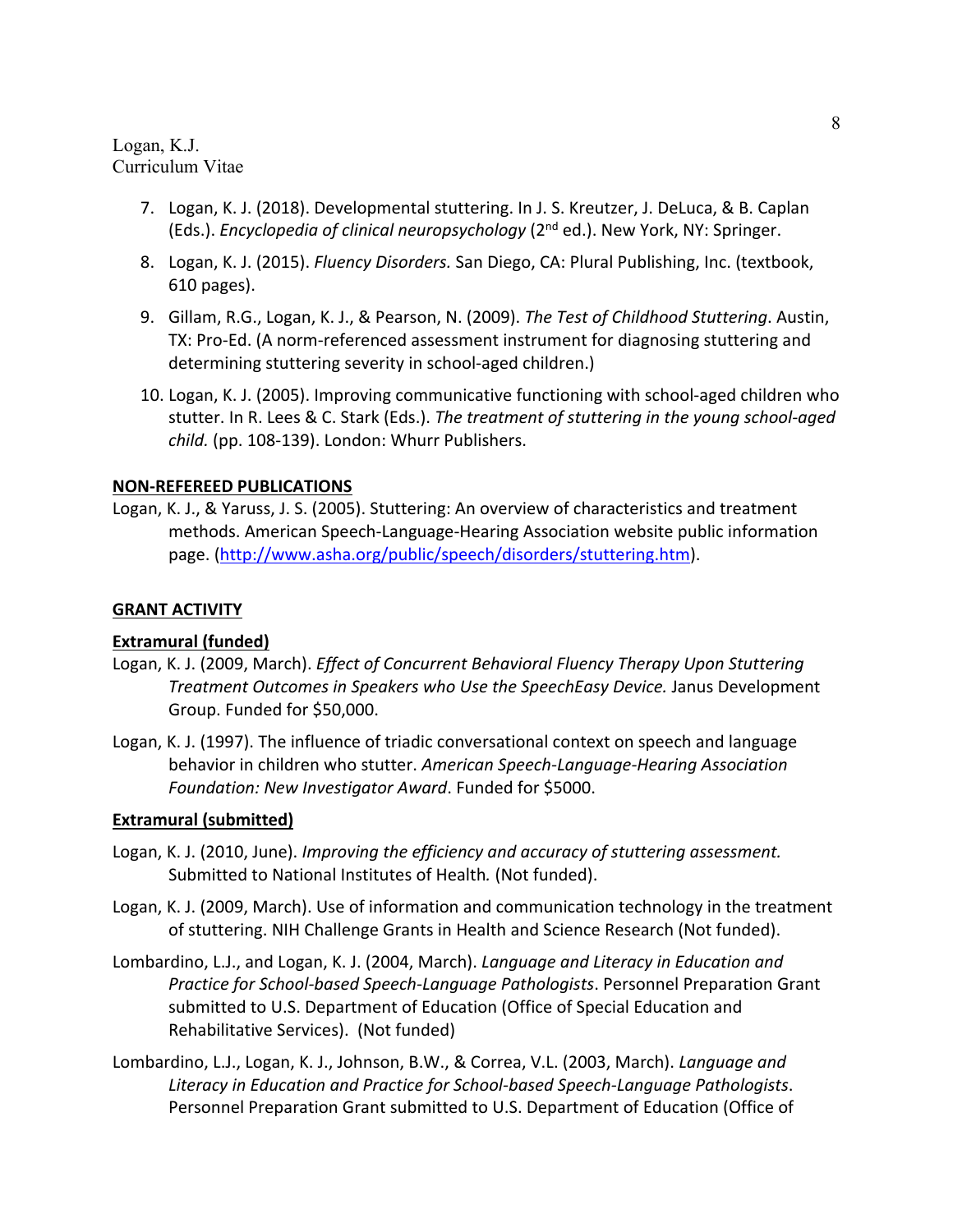- 7. Logan, K. J. (2018). Developmental stuttering. In J. S. Kreutzer, J. DeLuca, & B. Caplan (Eds.). *Encyclopedia of clinical neuropsychology* (2nd ed.). New York, NY: Springer.
- 8. Logan, K. J. (2015). *Fluency Disorders.* San Diego, CA: Plural Publishing, Inc. (textbook, 610 pages).
- 9. Gillam, R.G., Logan, K. J., & Pearson, N. (2009). *The Test of Childhood Stuttering*. Austin, TX: Pro-Ed. (A norm-referenced assessment instrument for diagnosing stuttering and determining stuttering severity in school-aged children.)
- 10. Logan, K. J. (2005). Improving communicative functioning with school-aged children who stutter. In R. Lees & C. Stark (Eds.). *The treatment of stuttering in the young school-aged child.* (pp. 108-139). London: Whurr Publishers.

#### **NON-REFEREED PUBLICATIONS**

Logan, K. J., & Yaruss, J. S. (2005). Stuttering: An overview of characteristics and treatment methods. American Speech-Language-Hearing Association website public information page. (http://www.asha.org/public/speech/disorders/stuttering.htm).

#### **GRANT ACTIVITY**

### **Extramural (funded)**

- Logan, K. J. (2009, March). *Effect of Concurrent Behavioral Fluency Therapy Upon Stuttering Treatment Outcomes in Speakers who Use the SpeechEasy Device.* Janus Development Group. Funded for \$50,000.
- Logan, K. J. (1997). The influence of triadic conversational context on speech and language behavior in children who stutter. *American Speech-Language-Hearing Association Foundation: New Investigator Award*. Funded for \$5000.

#### **Extramural (submitted)**

- Logan, K. J. (2010, June). *Improving the efficiency and accuracy of stuttering assessment.* Submitted to National Institutes of Health*.* (Not funded).
- Logan, K. J. (2009, March). Use of information and communication technology in the treatment of stuttering. NIH Challenge Grants in Health and Science Research (Not funded).
- Lombardino, L.J., and Logan, K. J. (2004, March). *Language and Literacy in Education and Practice for School-based Speech-Language Pathologists*. Personnel Preparation Grant submitted to U.S. Department of Education (Office of Special Education and Rehabilitative Services). (Not funded)
- Lombardino, L.J., Logan, K. J., Johnson, B.W., & Correa, V.L. (2003, March). *Language and Literacy in Education and Practice for School-based Speech-Language Pathologists*. Personnel Preparation Grant submitted to U.S. Department of Education (Office of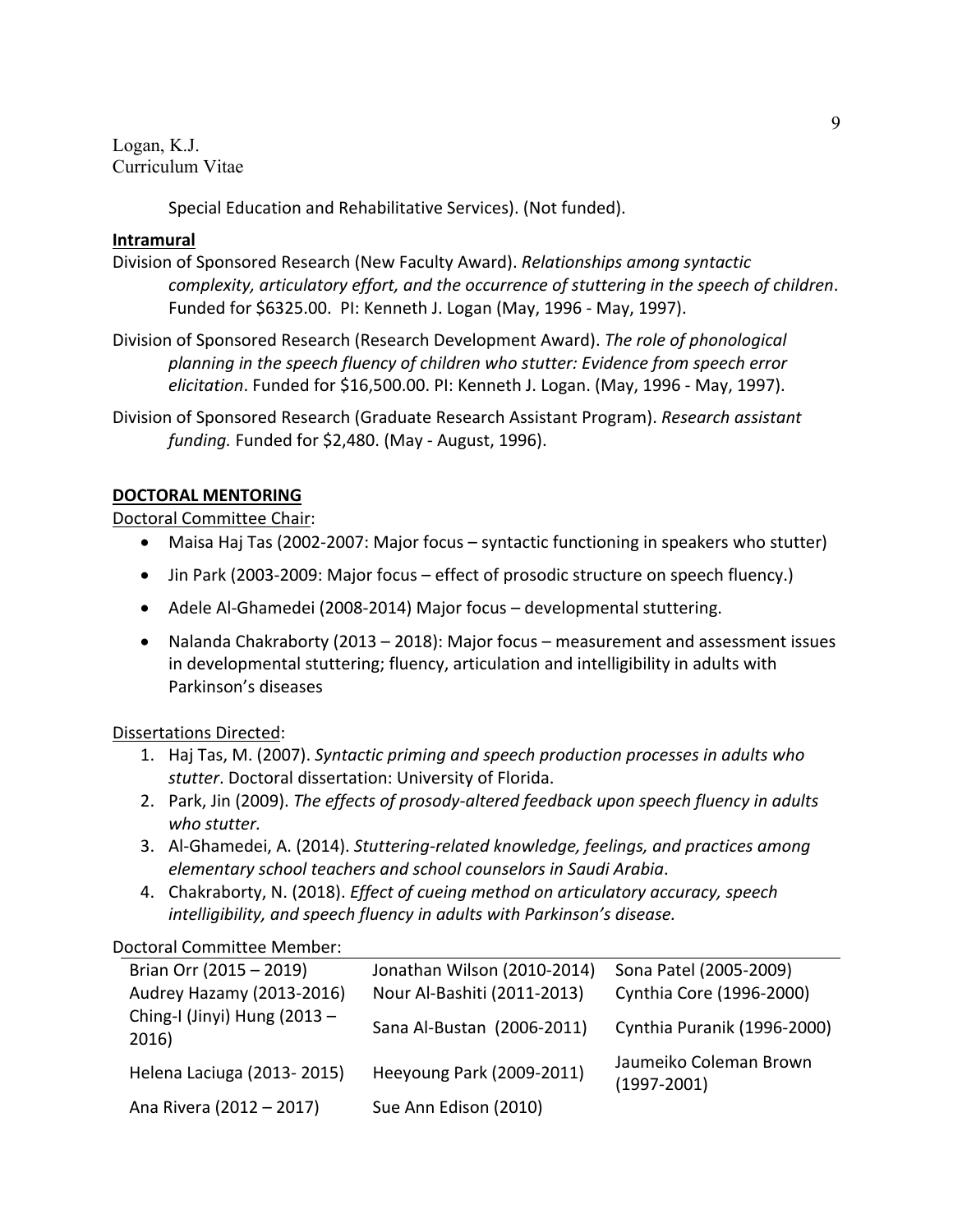Special Education and Rehabilitative Services). (Not funded).

### **Intramural**

- Division of Sponsored Research (New Faculty Award). *Relationships among syntactic complexity, articulatory effort, and the occurrence of stuttering in the speech of children*. Funded for \$6325.00. PI: Kenneth J. Logan (May, 1996 - May, 1997).
- Division of Sponsored Research (Research Development Award). *The role of phonological planning in the speech fluency of children who stutter: Evidence from speech error elicitation*. Funded for \$16,500.00. PI: Kenneth J. Logan. (May, 1996 - May, 1997).
- Division of Sponsored Research (Graduate Research Assistant Program). *Research assistant funding.* Funded for \$2,480. (May - August, 1996).

## **DOCTORAL MENTORING**

Doctoral Committee Chair:

- Maisa Haj Tas (2002-2007: Major focus syntactic functioning in speakers who stutter)
- Jin Park (2003-2009: Major focus effect of prosodic structure on speech fluency.)
- Adele Al-Ghamedei (2008-2014) Major focus developmental stuttering.
- Nalanda Chakraborty (2013 2018): Major focus measurement and assessment issues in developmental stuttering; fluency, articulation and intelligibility in adults with Parkinson's diseases

## Dissertations Directed:

- 1. Haj Tas, M. (2007). *Syntactic priming and speech production processes in adults who stutter*. Doctoral dissertation: University of Florida.
- 2. Park, Jin (2009). *The effects of prosody-altered feedback upon speech fluency in adults who stutter.*
- 3. Al-Ghamedei, A. (2014). *Stuttering-related knowledge, feelings, and practices among elementary school teachers and school counselors in Saudi Arabia*.
- 4. Chakraborty, N. (2018). *Effect of cueing method on articulatory accuracy, speech intelligibility, and speech fluency in adults with Parkinson's disease.*

Doctoral Committee Member:

| Brian Orr (2015 - 2019)               | Jonathan Wilson (2010-2014) | Sona Patel (2005-2009)                    |
|---------------------------------------|-----------------------------|-------------------------------------------|
| Audrey Hazamy (2013-2016)             | Nour Al-Bashiti (2011-2013) | Cynthia Core (1996-2000)                  |
| Ching-I (Jinyi) Hung (2013 -<br>2016) | Sana Al-Bustan (2006-2011)  | Cynthia Puranik (1996-2000)               |
| Helena Laciuga (2013-2015)            | Heeyoung Park (2009-2011)   | Jaumeiko Coleman Brown<br>$(1997 - 2001)$ |
| Ana Rivera (2012 - 2017)              | Sue Ann Edison (2010)       |                                           |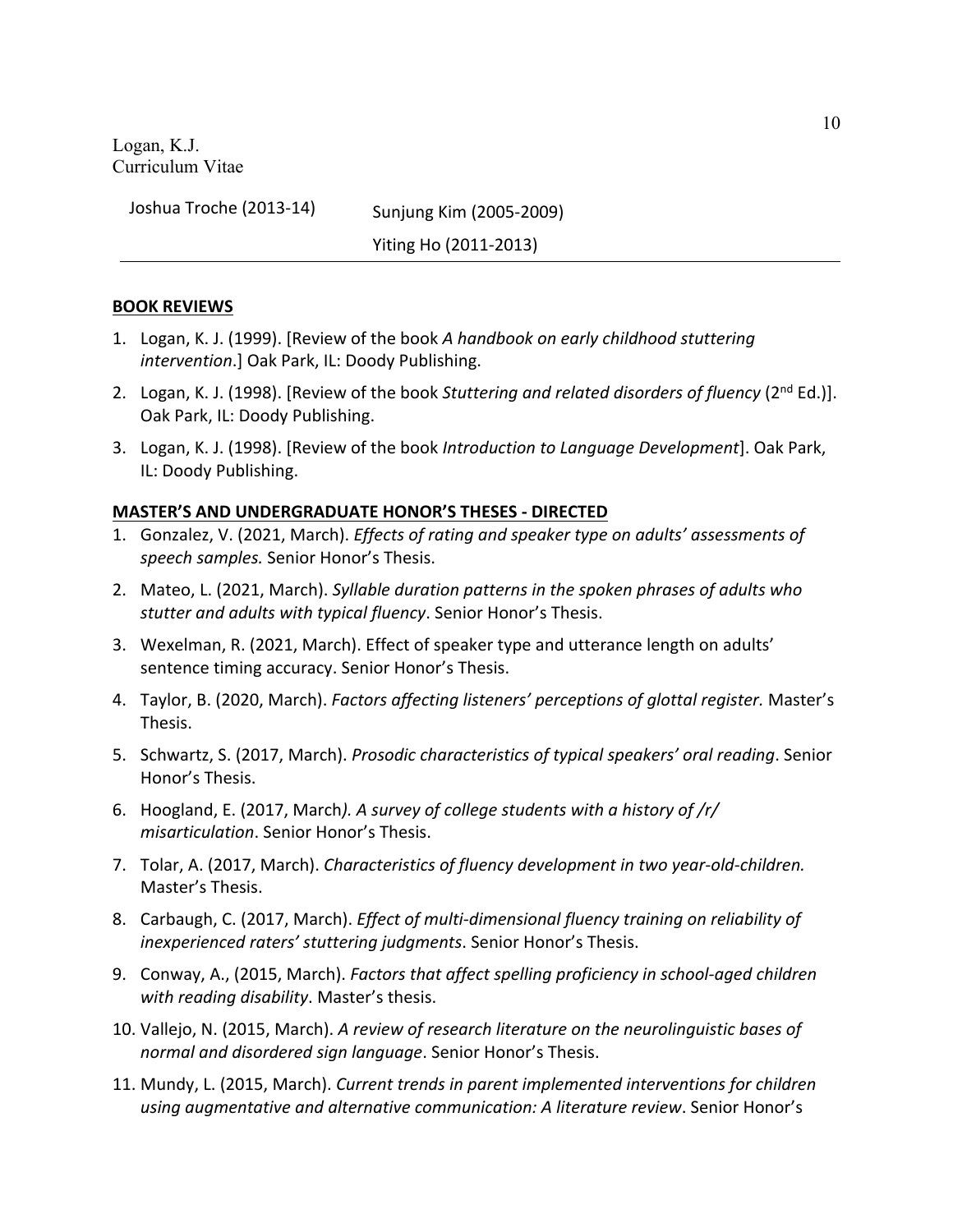Joshua Troche (2013-14) Sunjung Kim (2005-2009)

Yiting Ho (2011-2013)

#### **BOOK REVIEWS**

- 1. Logan, K. J. (1999). [Review of the book *A handbook on early childhood stuttering intervention*.] Oak Park, IL: Doody Publishing.
- 2. Logan, K. J. (1998). [Review of the book *Stuttering and related disorders of fluency* (2<sup>nd</sup> Ed.)]. Oak Park, IL: Doody Publishing.
- 3. Logan, K. J. (1998). [Review of the book *Introduction to Language Development*]. Oak Park, IL: Doody Publishing.

### **MASTER'S AND UNDERGRADUATE HONOR'S THESES - DIRECTED**

- 1. Gonzalez, V. (2021, March). *Effects of rating and speaker type on adults' assessments of speech samples.* Senior Honor's Thesis.
- 2. Mateo, L. (2021, March). *Syllable duration patterns in the spoken phrases of adults who stutter and adults with typical fluency*. Senior Honor's Thesis.
- 3. Wexelman, R. (2021, March). Effect of speaker type and utterance length on adults' sentence timing accuracy. Senior Honor's Thesis.
- 4. Taylor, B. (2020, March). *Factors affecting listeners' perceptions of glottal register.* Master's Thesis.
- 5. Schwartz, S. (2017, March). *Prosodic characteristics of typical speakers' oral reading*. Senior Honor's Thesis.
- 6. Hoogland, E. (2017, March*). A survey of college students with a history of /r/ misarticulation*. Senior Honor's Thesis.
- 7. Tolar, A. (2017, March). *Characteristics of fluency development in two year-old-children.*  Master's Thesis.
- 8. Carbaugh, C. (2017, March). *Effect of multi-dimensional fluency training on reliability of inexperienced raters' stuttering judgments*. Senior Honor's Thesis.
- 9. Conway, A., (2015, March). *Factors that affect spelling proficiency in school-aged children with reading disability*. Master's thesis.
- 10. Vallejo, N. (2015, March). *A review of research literature on the neurolinguistic bases of normal and disordered sign language*. Senior Honor's Thesis.
- 11. Mundy, L. (2015, March). *Current trends in parent implemented interventions for children using augmentative and alternative communication: A literature review*. Senior Honor's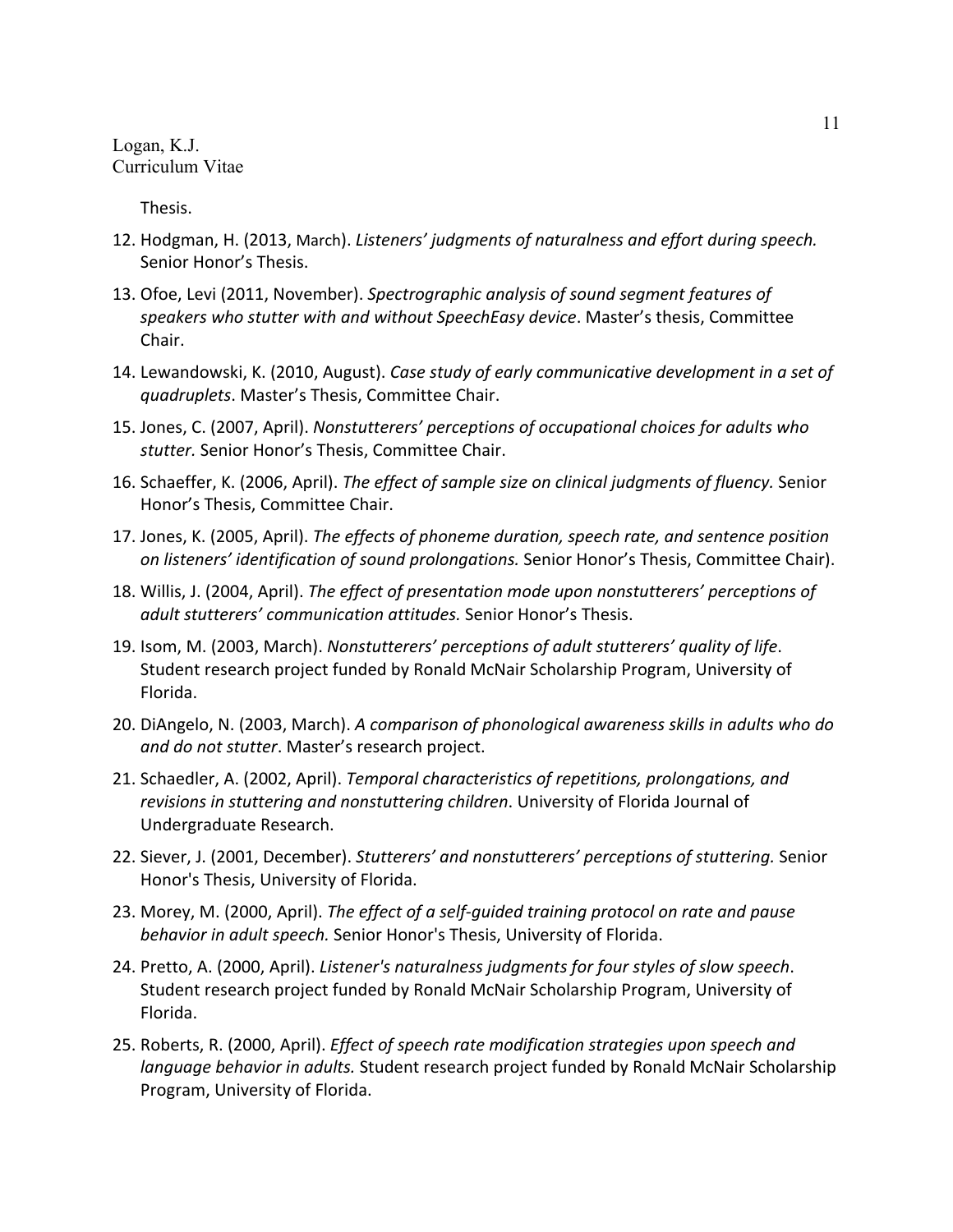Thesis.

- 12. Hodgman, H. (2013, March). *Listeners' judgments of naturalness and effort during speech.* Senior Honor's Thesis.
- 13. Ofoe, Levi (2011, November). *Spectrographic analysis of sound segment features of speakers who stutter with and without SpeechEasy device*. Master's thesis, Committee Chair.
- 14. Lewandowski, K. (2010, August). *Case study of early communicative development in a set of quadruplets*. Master's Thesis, Committee Chair.
- 15. Jones, C. (2007, April). *Nonstutterers' perceptions of occupational choices for adults who stutter.* Senior Honor's Thesis, Committee Chair.
- 16. Schaeffer, K. (2006, April). *The effect of sample size on clinical judgments of fluency.* Senior Honor's Thesis, Committee Chair.
- 17. Jones, K. (2005, April). *The effects of phoneme duration, speech rate, and sentence position on listeners' identification of sound prolongations.* Senior Honor's Thesis, Committee Chair).
- 18. Willis, J. (2004, April). *The effect of presentation mode upon nonstutterers' perceptions of adult stutterers' communication attitudes.* Senior Honor's Thesis.
- 19. Isom, M. (2003, March). *Nonstutterers' perceptions of adult stutterers' quality of life*. Student research project funded by Ronald McNair Scholarship Program, University of Florida.
- 20. DiAngelo, N. (2003, March). *A comparison of phonological awareness skills in adults who do and do not stutter*. Master's research project.
- 21. Schaedler, A. (2002, April). *Temporal characteristics of repetitions, prolongations, and revisions in stuttering and nonstuttering children*. University of Florida Journal of Undergraduate Research.
- 22. Siever, J. (2001, December). *Stutterers' and nonstutterers' perceptions of stuttering.* Senior Honor's Thesis, University of Florida.
- 23. Morey, M. (2000, April). *The effect of a self-guided training protocol on rate and pause behavior in adult speech.* Senior Honor's Thesis, University of Florida.
- 24. Pretto, A. (2000, April). *Listener's naturalness judgments for four styles of slow speech*. Student research project funded by Ronald McNair Scholarship Program, University of Florida.
- 25. Roberts, R. (2000, April). *Effect of speech rate modification strategies upon speech and language behavior in adults.* Student research project funded by Ronald McNair Scholarship Program, University of Florida.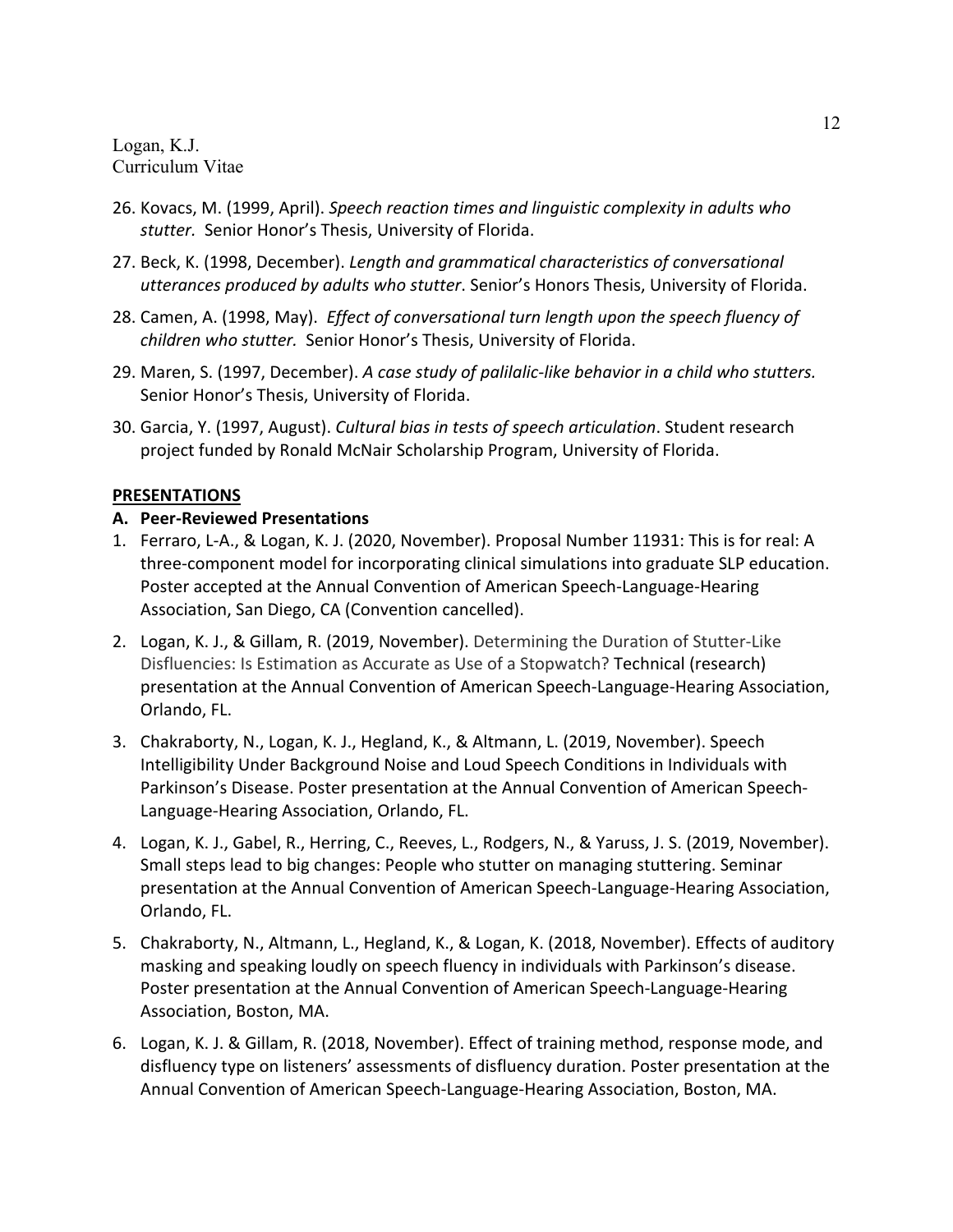- 26. Kovacs, M. (1999, April). *Speech reaction times and linguistic complexity in adults who stutter.* Senior Honor's Thesis, University of Florida.
- 27. Beck, K. (1998, December). *Length and grammatical characteristics of conversational utterances produced by adults who stutter*. Senior's Honors Thesis, University of Florida.
- 28. Camen, A. (1998, May). *Effect of conversational turn length upon the speech fluency of children who stutter.* Senior Honor's Thesis, University of Florida.
- 29. Maren, S. (1997, December). *A case study of palilalic-like behavior in a child who stutters.* Senior Honor's Thesis, University of Florida.
- 30. Garcia, Y. (1997, August). *Cultural bias in tests of speech articulation*. Student research project funded by Ronald McNair Scholarship Program, University of Florida.

### **PRESENTATIONS**

### **A. Peer-Reviewed Presentations**

- 1. Ferraro, L-A., & Logan, K. J. (2020, November). Proposal Number 11931: This is for real: A three-component model for incorporating clinical simulations into graduate SLP education. Poster accepted at the Annual Convention of American Speech-Language-Hearing Association, San Diego, CA (Convention cancelled).
- 2. Logan, K. J., & Gillam, R. (2019, November). Determining the Duration of Stutter-Like Disfluencies: Is Estimation as Accurate as Use of a Stopwatch? Technical (research) presentation at the Annual Convention of American Speech-Language-Hearing Association, Orlando, FL.
- 3. Chakraborty, N., Logan, K. J., Hegland, K., & Altmann, L. (2019, November). Speech Intelligibility Under Background Noise and Loud Speech Conditions in Individuals with Parkinson's Disease. Poster presentation at the Annual Convention of American Speech-Language-Hearing Association, Orlando, FL.
- 4. Logan, K. J., Gabel, R., Herring, C., Reeves, L., Rodgers, N., & Yaruss, J. S. (2019, November). Small steps lead to big changes: People who stutter on managing stuttering. Seminar presentation at the Annual Convention of American Speech-Language-Hearing Association, Orlando, FL.
- 5. Chakraborty, N., Altmann, L., Hegland, K., & Logan, K. (2018, November). Effects of auditory masking and speaking loudly on speech fluency in individuals with Parkinson's disease. Poster presentation at the Annual Convention of American Speech-Language-Hearing Association, Boston, MA.
- 6. Logan, K. J. & Gillam, R. (2018, November). Effect of training method, response mode, and disfluency type on listeners' assessments of disfluency duration. Poster presentation at the Annual Convention of American Speech-Language-Hearing Association, Boston, MA.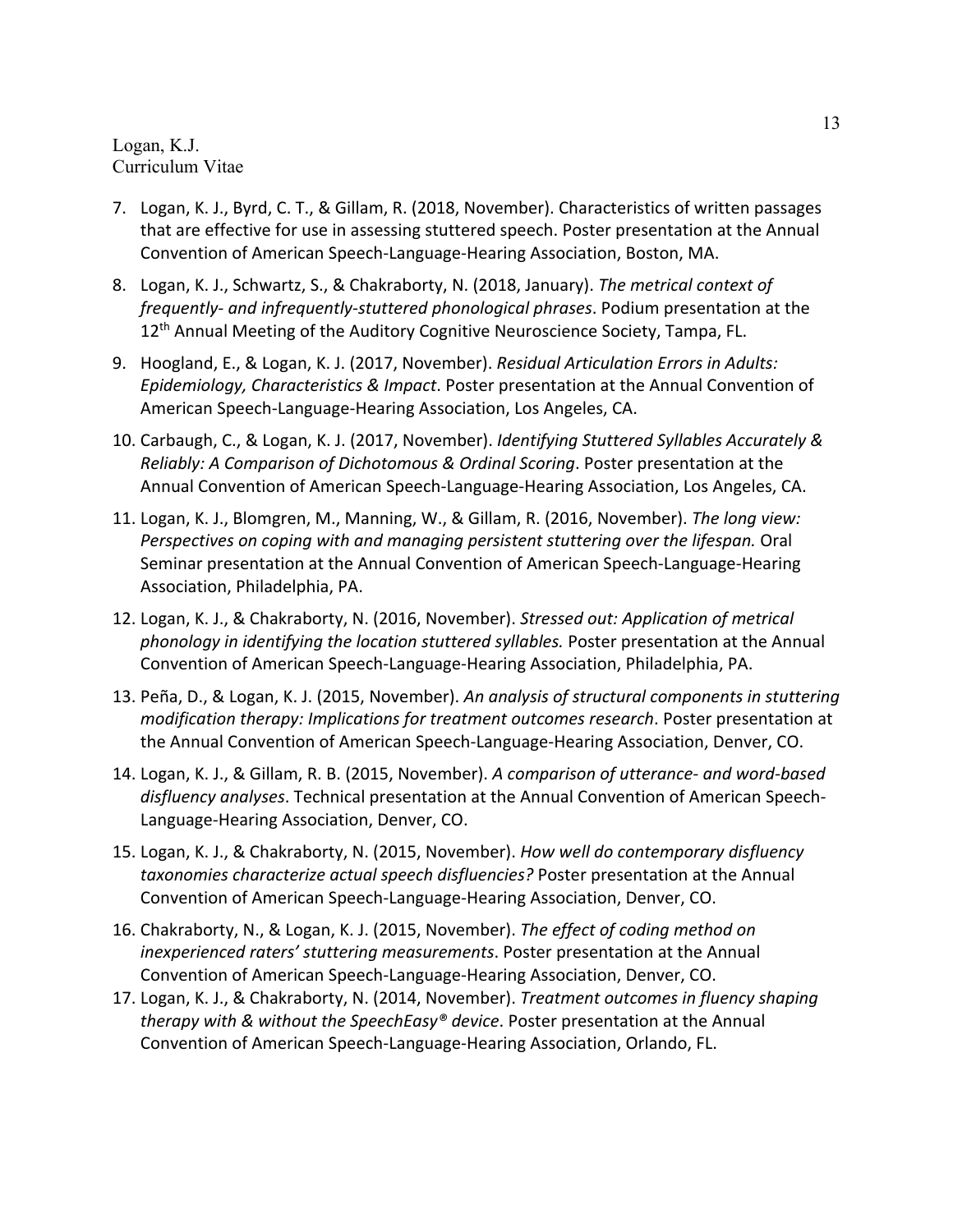- 7. Logan, K. J., Byrd, C. T., & Gillam, R. (2018, November). Characteristics of written passages that are effective for use in assessing stuttered speech. Poster presentation at the Annual Convention of American Speech-Language-Hearing Association, Boston, MA.
- 8. Logan, K. J., Schwartz, S., & Chakraborty, N. (2018, January). *The metrical context of frequently- and infrequently-stuttered phonological phrases*. Podium presentation at the 12<sup>th</sup> Annual Meeting of the Auditory Cognitive Neuroscience Society, Tampa, FL.
- 9. Hoogland, E., & Logan, K. J. (2017, November). *Residual Articulation Errors in Adults: Epidemiology, Characteristics & Impact*. Poster presentation at the Annual Convention of American Speech-Language-Hearing Association, Los Angeles, CA.
- 10. Carbaugh, C., & Logan, K. J. (2017, November). *Identifying Stuttered Syllables Accurately & Reliably: A Comparison of Dichotomous & Ordinal Scoring*. Poster presentation at the Annual Convention of American Speech-Language-Hearing Association, Los Angeles, CA.
- 11. Logan, K. J., Blomgren, M., Manning, W., & Gillam, R. (2016, November). *The long view: Perspectives on coping with and managing persistent stuttering over the lifespan.* Oral Seminar presentation at the Annual Convention of American Speech-Language-Hearing Association, Philadelphia, PA.
- 12. Logan, K. J., & Chakraborty, N. (2016, November). *Stressed out: Application of metrical phonology in identifying the location stuttered syllables.* Poster presentation at the Annual Convention of American Speech-Language-Hearing Association, Philadelphia, PA.
- 13. Peña, D., & Logan, K. J. (2015, November). *An analysis of structural components in stuttering modification therapy: Implications for treatment outcomes research*. Poster presentation at the Annual Convention of American Speech-Language-Hearing Association, Denver, CO.
- 14. Logan, K. J., & Gillam, R. B. (2015, November). *A comparison of utterance- and word-based disfluency analyses*. Technical presentation at the Annual Convention of American Speech-Language-Hearing Association, Denver, CO.
- 15. Logan, K. J., & Chakraborty, N. (2015, November). *How well do contemporary disfluency taxonomies characterize actual speech disfluencies?* Poster presentation at the Annual Convention of American Speech-Language-Hearing Association, Denver, CO.
- 16. Chakraborty, N., & Logan, K. J. (2015, November). *The effect of coding method on inexperienced raters' stuttering measurements*. Poster presentation at the Annual Convention of American Speech-Language-Hearing Association, Denver, CO.
- 17. Logan, K. J., & Chakraborty, N. (2014, November). *Treatment outcomes in fluency shaping therapy with & without the SpeechEasy® device*. Poster presentation at the Annual Convention of American Speech-Language-Hearing Association, Orlando, FL.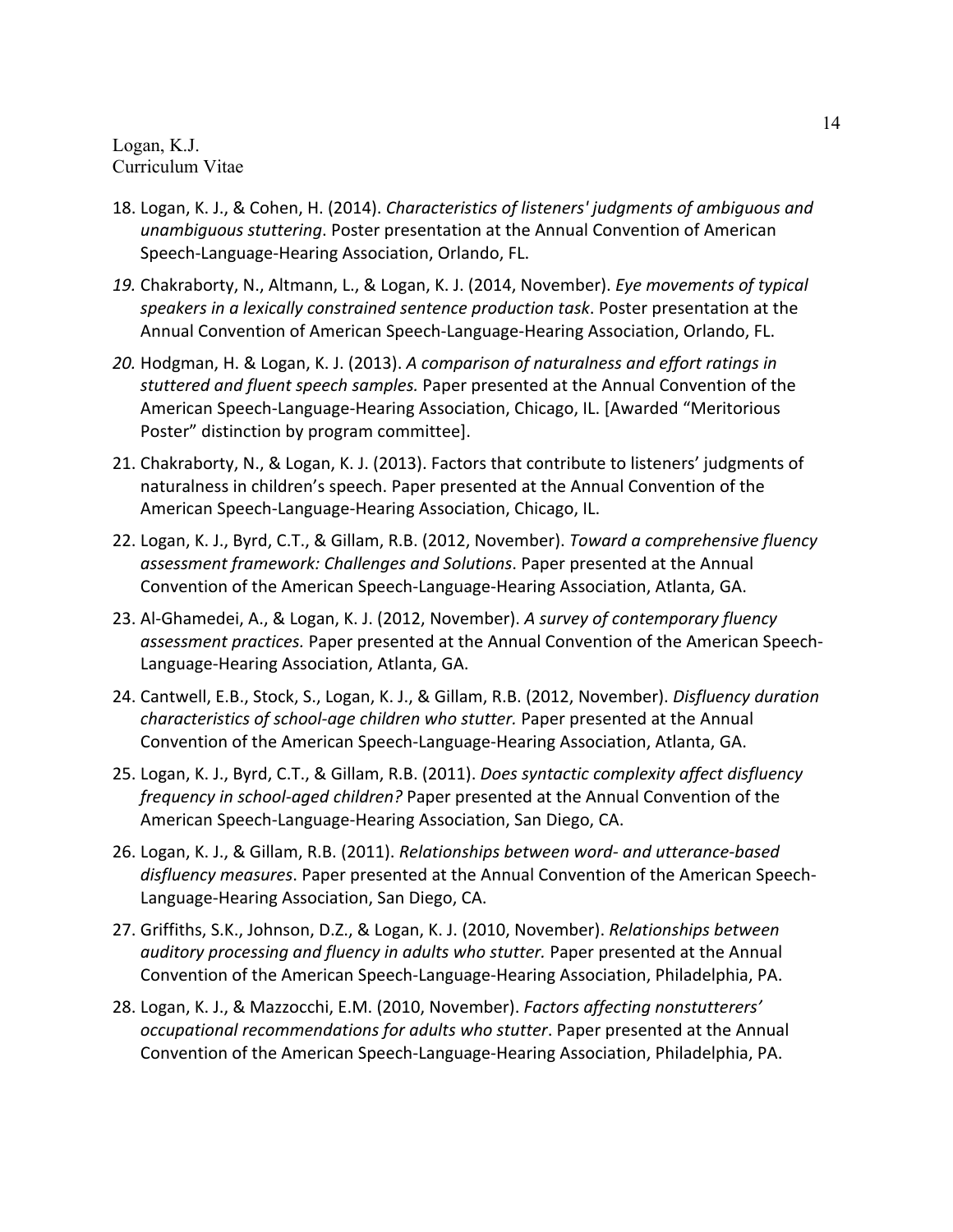- 18. Logan, K. J., & Cohen, H. (2014). *Characteristics of listeners' judgments of ambiguous and unambiguous stuttering*. Poster presentation at the Annual Convention of American Speech-Language-Hearing Association, Orlando, FL.
- *19.* Chakraborty, N., Altmann, L., & Logan, K. J. (2014, November). *Eye movements of typical speakers in a lexically constrained sentence production task*. Poster presentation at the Annual Convention of American Speech-Language-Hearing Association, Orlando, FL.
- *20.* Hodgman, H. & Logan, K. J. (2013). *A comparison of naturalness and effort ratings in stuttered and fluent speech samples.* Paper presented at the Annual Convention of the American Speech-Language-Hearing Association, Chicago, IL. [Awarded "Meritorious Poster" distinction by program committee].
- 21. Chakraborty, N., & Logan, K. J. (2013). Factors that contribute to listeners' judgments of naturalness in children's speech. Paper presented at the Annual Convention of the American Speech-Language-Hearing Association, Chicago, IL.
- 22. Logan, K. J., Byrd, C.T., & Gillam, R.B. (2012, November). *Toward a comprehensive fluency assessment framework: Challenges and Solutions*. Paper presented at the Annual Convention of the American Speech-Language-Hearing Association, Atlanta, GA.
- 23. Al-Ghamedei, A., & Logan, K. J. (2012, November). *A survey of contemporary fluency assessment practices.* Paper presented at the Annual Convention of the American Speech-Language-Hearing Association, Atlanta, GA.
- 24. Cantwell, E.B., Stock, S., Logan, K. J., & Gillam, R.B. (2012, November). *Disfluency duration characteristics of school-age children who stutter.* Paper presented at the Annual Convention of the American Speech-Language-Hearing Association, Atlanta, GA.
- 25. Logan, K. J., Byrd, C.T., & Gillam, R.B. (2011). *Does syntactic complexity affect disfluency frequency in school-aged children?* Paper presented at the Annual Convention of the American Speech-Language-Hearing Association, San Diego, CA.
- 26. Logan, K. J., & Gillam, R.B. (2011). *Relationships between word- and utterance-based disfluency measures*. Paper presented at the Annual Convention of the American Speech-Language-Hearing Association, San Diego, CA.
- 27. Griffiths, S.K., Johnson, D.Z., & Logan, K. J. (2010, November). *Relationships between auditory processing and fluency in adults who stutter.* Paper presented at the Annual Convention of the American Speech-Language-Hearing Association, Philadelphia, PA.
- 28. Logan, K. J., & Mazzocchi, E.M. (2010, November). *Factors affecting nonstutterers' occupational recommendations for adults who stutter*. Paper presented at the Annual Convention of the American Speech-Language-Hearing Association, Philadelphia, PA.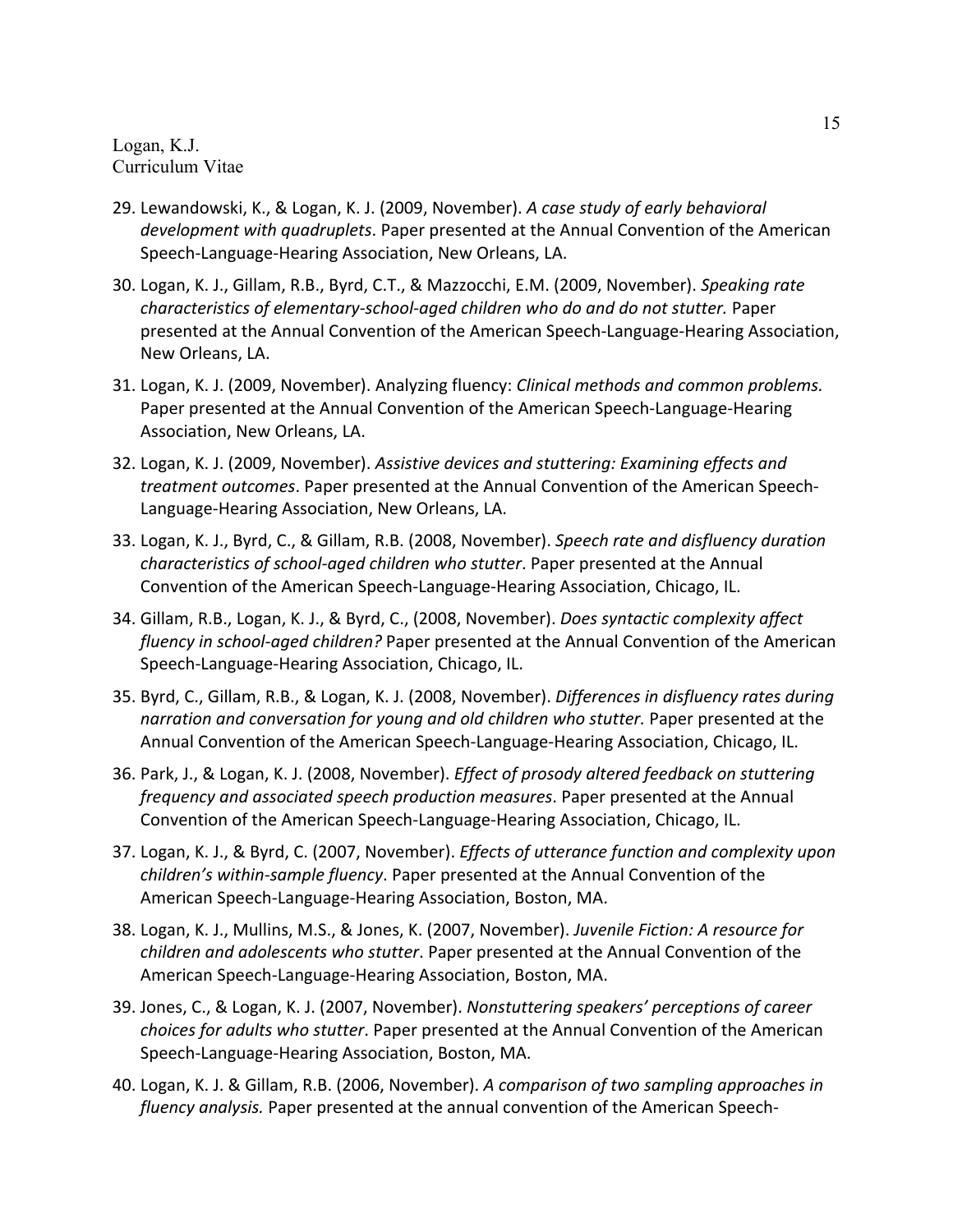- 29. Lewandowski, K., & Logan, K. J. (2009, November). *A case study of early behavioral development with quadruplets*. Paper presented at the Annual Convention of the American Speech-Language-Hearing Association, New Orleans, LA.
- 30. Logan, K. J., Gillam, R.B., Byrd, C.T., & Mazzocchi, E.M. (2009, November). *Speaking rate characteristics of elementary-school-aged children who do and do not stutter.* Paper presented at the Annual Convention of the American Speech-Language-Hearing Association, New Orleans, LA.
- 31. Logan, K. J. (2009, November). Analyzing fluency: *Clinical methods and common problems.* Paper presented at the Annual Convention of the American Speech-Language-Hearing Association, New Orleans, LA.
- 32. Logan, K. J. (2009, November). *Assistive devices and stuttering: Examining effects and treatment outcomes*. Paper presented at the Annual Convention of the American Speech-Language-Hearing Association, New Orleans, LA.
- 33. Logan, K. J., Byrd, C., & Gillam, R.B. (2008, November). *Speech rate and disfluency duration characteristics of school-aged children who stutter*. Paper presented at the Annual Convention of the American Speech-Language-Hearing Association, Chicago, IL.
- 34. Gillam, R.B., Logan, K. J., & Byrd, C., (2008, November). *Does syntactic complexity affect fluency in school-aged children?* Paper presented at the Annual Convention of the American Speech-Language-Hearing Association, Chicago, IL.
- 35. Byrd, C., Gillam, R.B., & Logan, K. J. (2008, November). *Differences in disfluency rates during narration and conversation for young and old children who stutter.* Paper presented at the Annual Convention of the American Speech-Language-Hearing Association, Chicago, IL.
- 36. Park, J., & Logan, K. J. (2008, November). *Effect of prosody altered feedback on stuttering frequency and associated speech production measures*. Paper presented at the Annual Convention of the American Speech-Language-Hearing Association, Chicago, IL.
- 37. Logan, K. J., & Byrd, C. (2007, November). *Effects of utterance function and complexity upon children's within-sample fluency*. Paper presented at the Annual Convention of the American Speech-Language-Hearing Association, Boston, MA.
- 38. Logan, K. J., Mullins, M.S., & Jones, K. (2007, November). *Juvenile Fiction: A resource for children and adolescents who stutter*. Paper presented at the Annual Convention of the American Speech-Language-Hearing Association, Boston, MA.
- 39. Jones, C., & Logan, K. J. (2007, November). *Nonstuttering speakers' perceptions of career choices for adults who stutter*. Paper presented at the Annual Convention of the American Speech-Language-Hearing Association, Boston, MA.
- 40. Logan, K. J. & Gillam, R.B. (2006, November). *A comparison of two sampling approaches in fluency analysis.* Paper presented at the annual convention of the American Speech-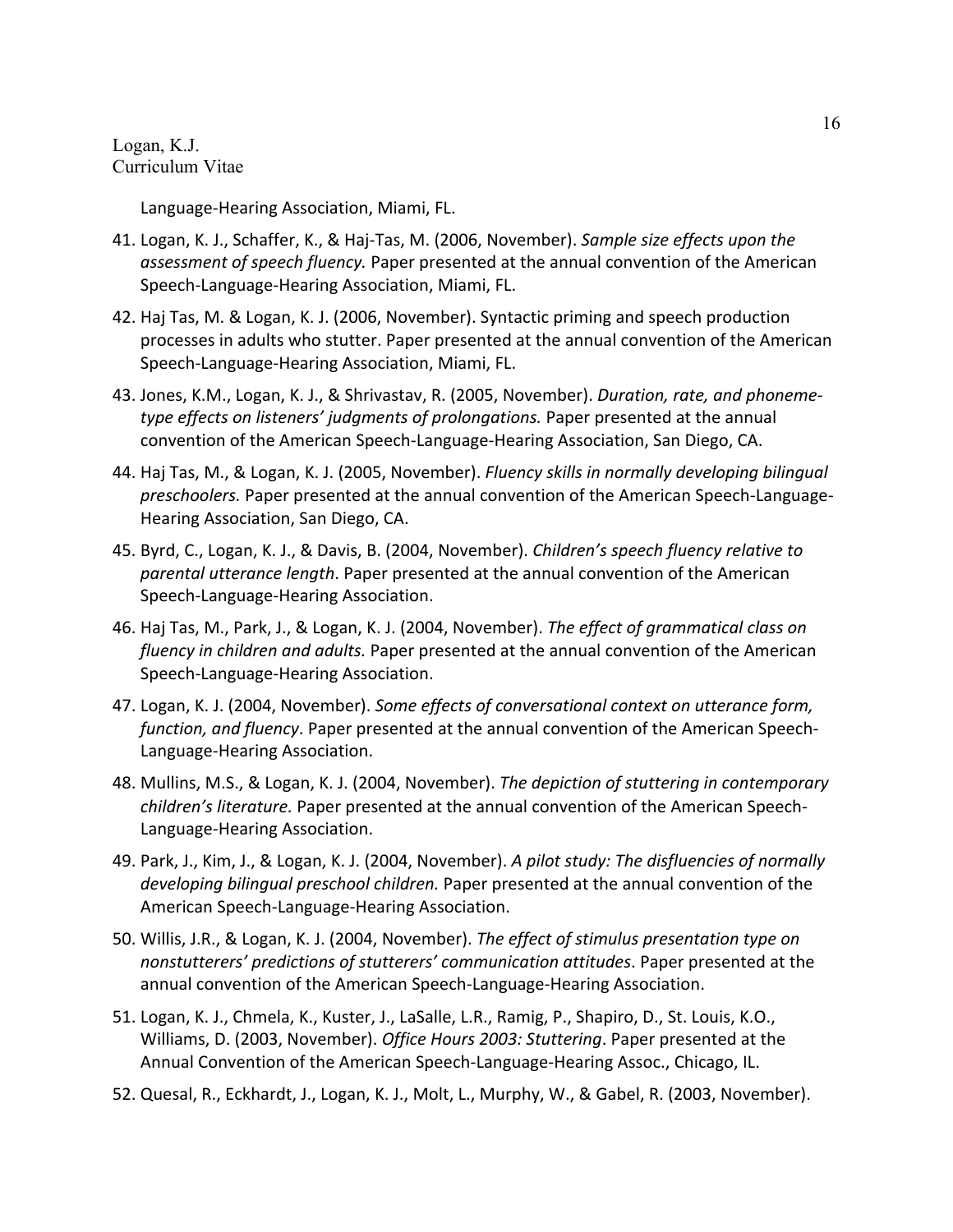Language-Hearing Association, Miami, FL.

- 41. Logan, K. J., Schaffer, K., & Haj-Tas, M. (2006, November). *Sample size effects upon the assessment of speech fluency.* Paper presented at the annual convention of the American Speech-Language-Hearing Association, Miami, FL.
- 42. Haj Tas, M. & Logan, K. J. (2006, November). Syntactic priming and speech production processes in adults who stutter. Paper presented at the annual convention of the American Speech-Language-Hearing Association, Miami, FL.
- 43. Jones, K.M., Logan, K. J., & Shrivastav, R. (2005, November). *Duration, rate, and phonemetype effects on listeners' judgments of prolongations.* Paper presented at the annual convention of the American Speech-Language-Hearing Association, San Diego, CA.
- 44. Haj Tas, M., & Logan, K. J. (2005, November). *Fluency skills in normally developing bilingual preschoolers.* Paper presented at the annual convention of the American Speech-Language-Hearing Association, San Diego, CA.
- 45. Byrd, C., Logan, K. J., & Davis, B. (2004, November). *Children's speech fluency relative to parental utterance length*. Paper presented at the annual convention of the American Speech-Language-Hearing Association.
- 46. Haj Tas, M., Park, J., & Logan, K. J. (2004, November). *The effect of grammatical class on fluency in children and adults.* Paper presented at the annual convention of the American Speech-Language-Hearing Association.
- 47. Logan, K. J. (2004, November). *Some effects of conversational context on utterance form, function, and fluency*. Paper presented at the annual convention of the American Speech-Language-Hearing Association.
- 48. Mullins, M.S., & Logan, K. J. (2004, November). *The depiction of stuttering in contemporary children's literature.* Paper presented at the annual convention of the American Speech-Language-Hearing Association.
- 49. Park, J., Kim, J., & Logan, K. J. (2004, November). *A pilot study: The disfluencies of normally developing bilingual preschool children.* Paper presented at the annual convention of the American Speech-Language-Hearing Association.
- 50. Willis, J.R., & Logan, K. J. (2004, November). *The effect of stimulus presentation type on nonstutterers' predictions of stutterers' communication attitudes*. Paper presented at the annual convention of the American Speech-Language-Hearing Association.
- 51. Logan, K. J., Chmela, K., Kuster, J., LaSalle, L.R., Ramig, P., Shapiro, D., St. Louis, K.O., Williams, D. (2003, November). *Office Hours 2003: Stuttering*. Paper presented at the Annual Convention of the American Speech-Language-Hearing Assoc., Chicago, IL.
- 52. Quesal, R., Eckhardt, J., Logan, K. J., Molt, L., Murphy, W., & Gabel, R. (2003, November).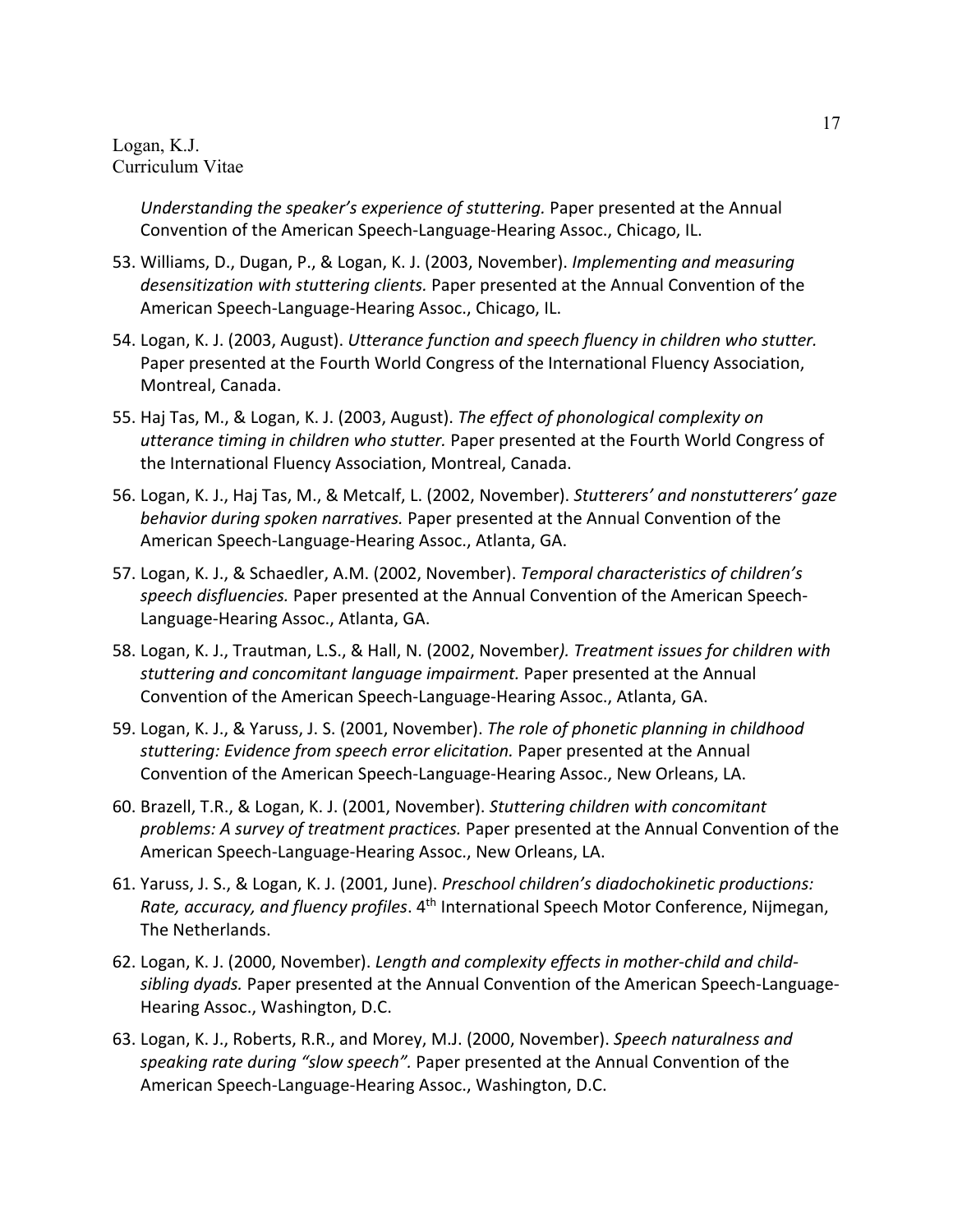*Understanding the speaker's experience of stuttering.* Paper presented at the Annual Convention of the American Speech-Language-Hearing Assoc., Chicago, IL.

- 53. Williams, D., Dugan, P., & Logan, K. J. (2003, November). *Implementing and measuring desensitization with stuttering clients.* Paper presented at the Annual Convention of the American Speech-Language-Hearing Assoc., Chicago, IL.
- 54. Logan, K. J. (2003, August). *Utterance function and speech fluency in children who stutter.* Paper presented at the Fourth World Congress of the International Fluency Association, Montreal, Canada.
- 55. Haj Tas, M., & Logan, K. J. (2003, August). *The effect of phonological complexity on utterance timing in children who stutter.* Paper presented at the Fourth World Congress of the International Fluency Association, Montreal, Canada.
- 56. Logan, K. J., Haj Tas, M., & Metcalf, L. (2002, November). *Stutterers' and nonstutterers' gaze behavior during spoken narratives.* Paper presented at the Annual Convention of the American Speech-Language-Hearing Assoc., Atlanta, GA.
- 57. Logan, K. J., & Schaedler, A.M. (2002, November). *Temporal characteristics of children's speech disfluencies.* Paper presented at the Annual Convention of the American Speech-Language-Hearing Assoc., Atlanta, GA.
- 58. Logan, K. J., Trautman, L.S., & Hall, N. (2002, November*). Treatment issues for children with stuttering and concomitant language impairment.* Paper presented at the Annual Convention of the American Speech-Language-Hearing Assoc., Atlanta, GA.
- 59. Logan, K. J., & Yaruss, J. S. (2001, November). *The role of phonetic planning in childhood stuttering: Evidence from speech error elicitation.* Paper presented at the Annual Convention of the American Speech-Language-Hearing Assoc., New Orleans, LA.
- 60. Brazell, T.R., & Logan, K. J. (2001, November). *Stuttering children with concomitant problems: A survey of treatment practices.* Paper presented at the Annual Convention of the American Speech-Language-Hearing Assoc., New Orleans, LA.
- 61. Yaruss, J. S., & Logan, K. J. (2001, June). *Preschool children's diadochokinetic productions: Rate, accuracy, and fluency profiles*. 4th International Speech Motor Conference, Nijmegan, The Netherlands.
- 62. Logan, K. J. (2000, November). *Length and complexity effects in mother-child and childsibling dyads.* Paper presented at the Annual Convention of the American Speech-Language-Hearing Assoc., Washington, D.C.
- 63. Logan, K. J., Roberts, R.R., and Morey, M.J. (2000, November). *Speech naturalness and speaking rate during "slow speech".* Paper presented at the Annual Convention of the American Speech-Language-Hearing Assoc., Washington, D.C.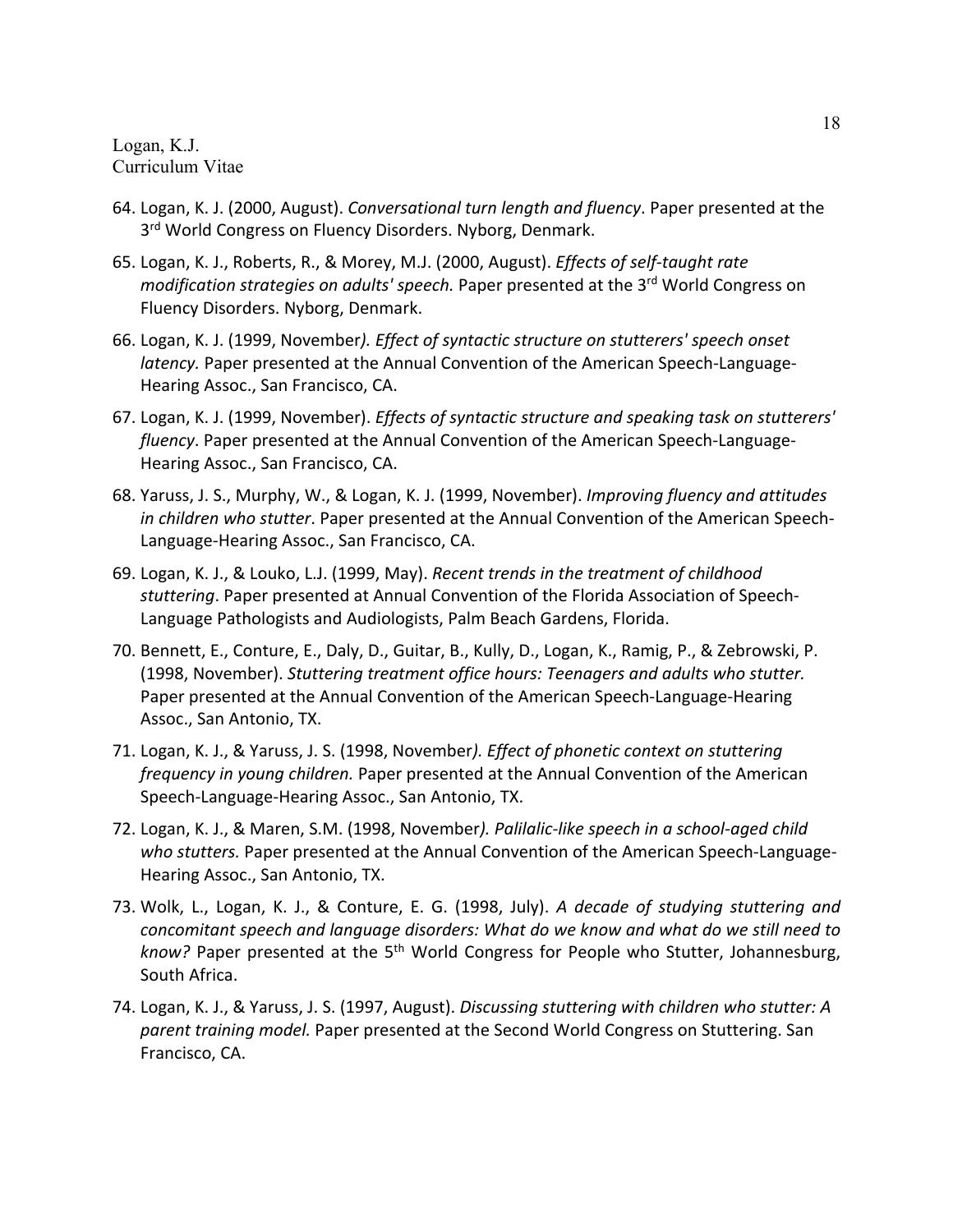- 64. Logan, K. J. (2000, August). *Conversational turn length and fluency*. Paper presented at the 3<sup>rd</sup> World Congress on Fluency Disorders. Nyborg, Denmark.
- 65. Logan, K. J., Roberts, R., & Morey, M.J. (2000, August). *Effects of self-taught rate modification strategies on adults' speech.* Paper presented at the 3<sup>rd</sup> World Congress on Fluency Disorders. Nyborg, Denmark.
- 66. Logan, K. J. (1999, November*). Effect of syntactic structure on stutterers' speech onset latency.* Paper presented at the Annual Convention of the American Speech-Language-Hearing Assoc., San Francisco, CA.
- 67. Logan, K. J. (1999, November). *Effects of syntactic structure and speaking task on stutterers' fluency*. Paper presented at the Annual Convention of the American Speech-Language-Hearing Assoc., San Francisco, CA.
- 68. Yaruss, J. S., Murphy, W., & Logan, K. J. (1999, November). *Improving fluency and attitudes in children who stutter*. Paper presented at the Annual Convention of the American Speech-Language-Hearing Assoc., San Francisco, CA.
- 69. Logan, K. J., & Louko, L.J. (1999, May). *Recent trends in the treatment of childhood stuttering*. Paper presented at Annual Convention of the Florida Association of Speech-Language Pathologists and Audiologists, Palm Beach Gardens, Florida.
- 70. Bennett, E., Conture, E., Daly, D., Guitar, B., Kully, D., Logan, K., Ramig, P., & Zebrowski, P. (1998, November). *Stuttering treatment office hours: Teenagers and adults who stutter.* Paper presented at the Annual Convention of the American Speech-Language-Hearing Assoc., San Antonio, TX.
- 71. Logan, K. J., & Yaruss, J. S. (1998, November*). Effect of phonetic context on stuttering frequency in young children.* Paper presented at the Annual Convention of the American Speech-Language-Hearing Assoc., San Antonio, TX.
- 72. Logan, K. J., & Maren, S.M. (1998, November*). Palilalic-like speech in a school-aged child who stutters.* Paper presented at the Annual Convention of the American Speech-Language-Hearing Assoc., San Antonio, TX.
- 73. Wolk, L., Logan, K. J., & Conture, E. G. (1998, July). *A decade of studying stuttering and concomitant speech and language disorders: What do we know and what do we still need to*  know? Paper presented at the 5<sup>th</sup> World Congress for People who Stutter, Johannesburg, South Africa.
- 74. Logan, K. J., & Yaruss, J. S. (1997, August). *Discussing stuttering with children who stutter: A parent training model.* Paper presented at the Second World Congress on Stuttering. San Francisco, CA.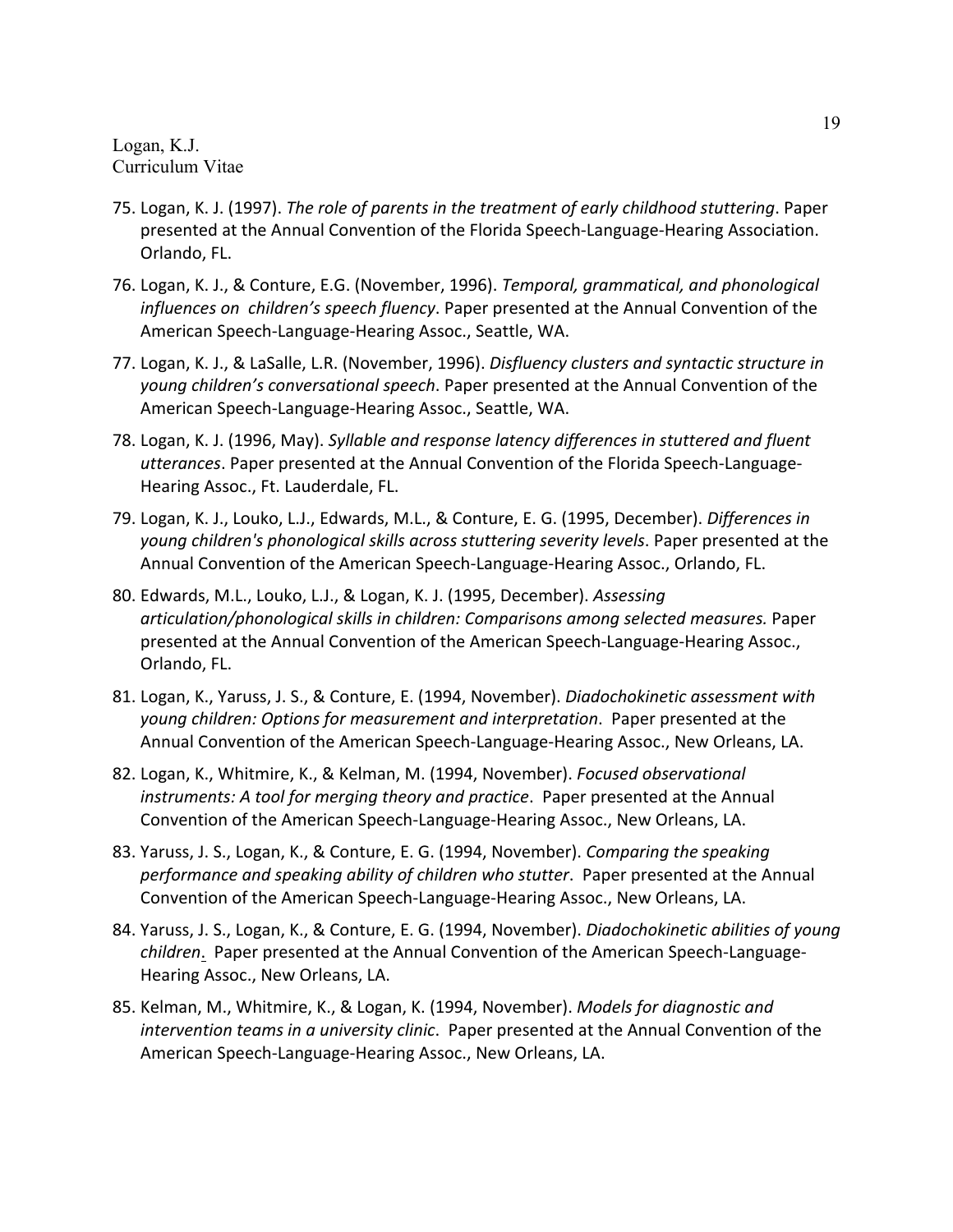- 75. Logan, K. J. (1997). *The role of parents in the treatment of early childhood stuttering*. Paper presented at the Annual Convention of the Florida Speech-Language-Hearing Association. Orlando, FL.
- 76. Logan, K. J., & Conture, E.G. (November, 1996). *Temporal, grammatical, and phonological influences on children's speech fluency*. Paper presented at the Annual Convention of the American Speech-Language-Hearing Assoc., Seattle, WA.
- 77. Logan, K. J., & LaSalle, L.R. (November, 1996). *Disfluency clusters and syntactic structure in young children's conversational speech*. Paper presented at the Annual Convention of the American Speech-Language-Hearing Assoc., Seattle, WA.
- 78. Logan, K. J. (1996, May). *Syllable and response latency differences in stuttered and fluent utterances*. Paper presented at the Annual Convention of the Florida Speech-Language-Hearing Assoc., Ft. Lauderdale, FL.
- 79. Logan, K. J., Louko, L.J., Edwards, M.L., & Conture, E. G. (1995, December). *Differences in young children's phonological skills across stuttering severity levels*. Paper presented at the Annual Convention of the American Speech-Language-Hearing Assoc., Orlando, FL.
- 80. Edwards, M.L., Louko, L.J., & Logan, K. J. (1995, December). *Assessing articulation/phonological skills in children: Comparisons among selected measures.* Paper presented at the Annual Convention of the American Speech-Language-Hearing Assoc., Orlando, FL.
- 81. Logan, K., Yaruss, J. S., & Conture, E. (1994, November). *Diadochokinetic assessment with young children: Options for measurement and interpretation*. Paper presented at the Annual Convention of the American Speech-Language-Hearing Assoc., New Orleans, LA.
- 82. Logan, K., Whitmire, K., & Kelman, M. (1994, November). *Focused observational instruments: A tool for merging theory and practice*. Paper presented at the Annual Convention of the American Speech-Language-Hearing Assoc., New Orleans, LA.
- 83. Yaruss, J. S., Logan, K., & Conture, E. G. (1994, November). *Comparing the speaking performance and speaking ability of children who stutter*. Paper presented at the Annual Convention of the American Speech-Language-Hearing Assoc., New Orleans, LA.
- 84. Yaruss, J. S., Logan, K., & Conture, E. G. (1994, November). *Diadochokinetic abilities of young children*. Paper presented at the Annual Convention of the American Speech-Language-Hearing Assoc., New Orleans, LA.
- 85. Kelman, M., Whitmire, K., & Logan, K. (1994, November). *Models for diagnostic and intervention teams in a university clinic*. Paper presented at the Annual Convention of the American Speech-Language-Hearing Assoc., New Orleans, LA.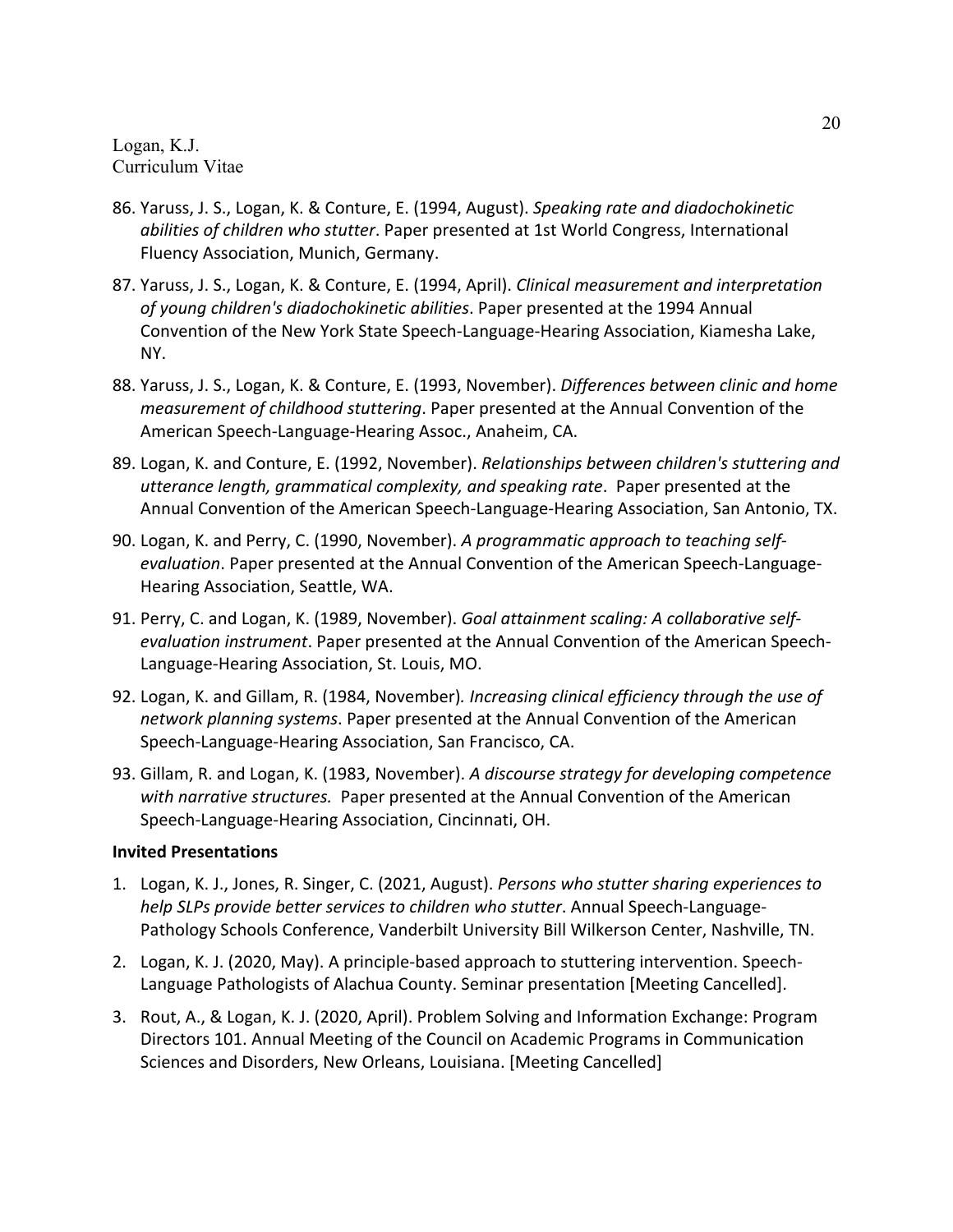- 86. Yaruss, J. S., Logan, K. & Conture, E. (1994, August). *Speaking rate and diadochokinetic abilities of children who stutter*. Paper presented at 1st World Congress, International Fluency Association, Munich, Germany.
- 87. Yaruss, J. S., Logan, K. & Conture, E. (1994, April). *Clinical measurement and interpretation of young children's diadochokinetic abilities*. Paper presented at the 1994 Annual Convention of the New York State Speech-Language-Hearing Association, Kiamesha Lake, NY.
- 88. Yaruss, J. S., Logan, K. & Conture, E. (1993, November). *Differences between clinic and home measurement of childhood stuttering*. Paper presented at the Annual Convention of the American Speech-Language-Hearing Assoc., Anaheim, CA.
- 89. Logan, K. and Conture, E. (1992, November). *Relationships between children's stuttering and utterance length, grammatical complexity, and speaking rate*. Paper presented at the Annual Convention of the American Speech-Language-Hearing Association, San Antonio, TX.
- 90. Logan, K. and Perry, C. (1990, November). *A programmatic approach to teaching selfevaluation*. Paper presented at the Annual Convention of the American Speech-Language-Hearing Association, Seattle, WA.
- 91. Perry, C. and Logan, K. (1989, November). *Goal attainment scaling: A collaborative selfevaluation instrument*. Paper presented at the Annual Convention of the American Speech-Language-Hearing Association, St. Louis, MO.
- 92. Logan, K. and Gillam, R. (1984, November)*. Increasing clinical efficiency through the use of network planning systems*. Paper presented at the Annual Convention of the American Speech-Language-Hearing Association, San Francisco, CA.
- 93. Gillam, R. and Logan, K. (1983, November). *A discourse strategy for developing competence with narrative structures.* Paper presented at the Annual Convention of the American Speech-Language-Hearing Association, Cincinnati, OH.

### **Invited Presentations**

- 1. Logan, K. J., Jones, R. Singer, C. (2021, August). *Persons who stutter sharing experiences to help SLPs provide better services to children who stutter*. Annual Speech-Language-Pathology Schools Conference, Vanderbilt University Bill Wilkerson Center, Nashville, TN.
- 2. Logan, K. J. (2020, May). A principle-based approach to stuttering intervention. Speech-Language Pathologists of Alachua County. Seminar presentation [Meeting Cancelled].
- 3. Rout, A., & Logan, K. J. (2020, April). Problem Solving and Information Exchange: Program Directors 101. Annual Meeting of the Council on Academic Programs in Communication Sciences and Disorders, New Orleans, Louisiana. [Meeting Cancelled]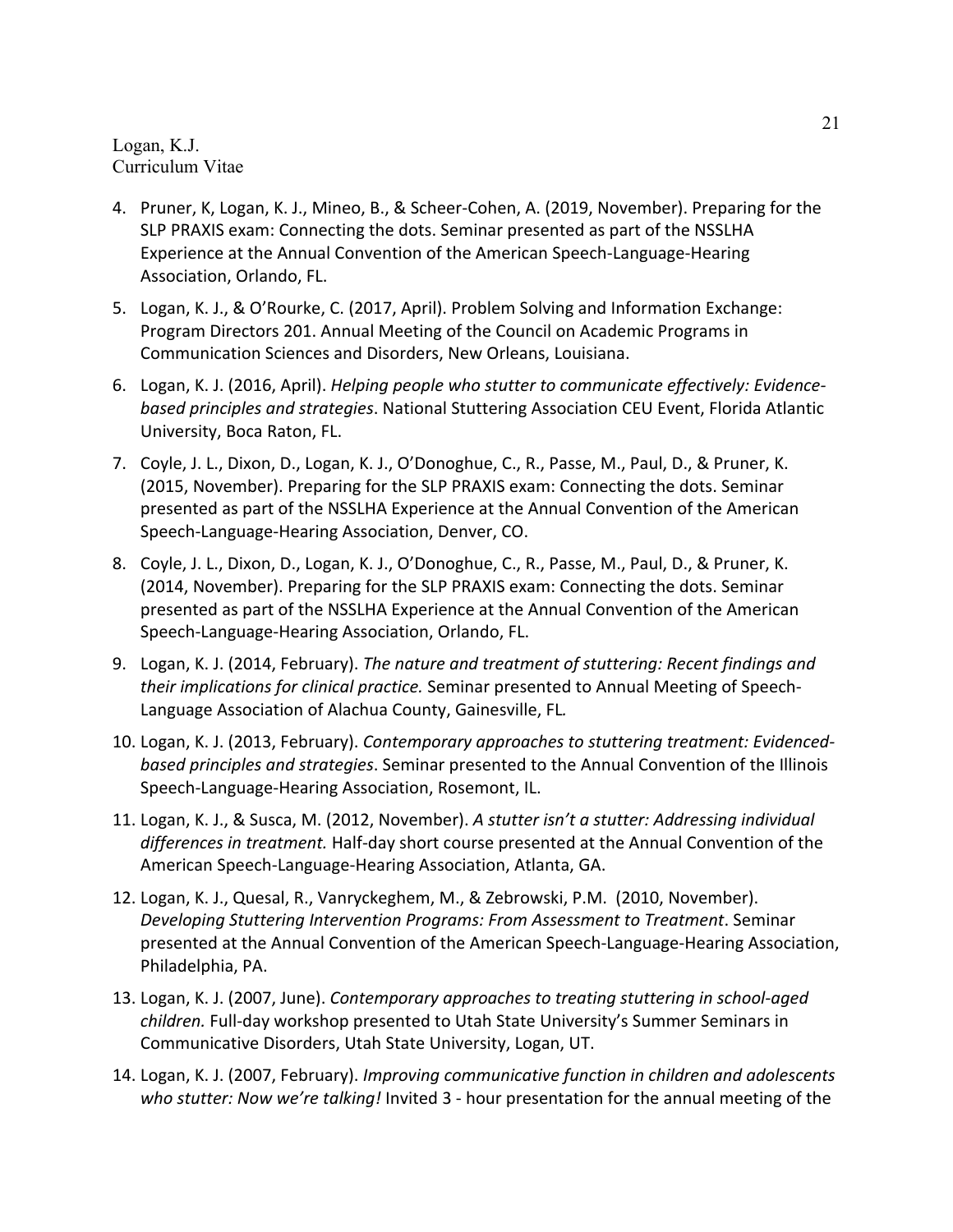- 4. Pruner, K, Logan, K. J., Mineo, B., & Scheer-Cohen, A. (2019, November). Preparing for the SLP PRAXIS exam: Connecting the dots. Seminar presented as part of the NSSLHA Experience at the Annual Convention of the American Speech-Language-Hearing Association, Orlando, FL.
- 5. Logan, K. J., & O'Rourke, C. (2017, April). Problem Solving and Information Exchange: Program Directors 201. Annual Meeting of the Council on Academic Programs in Communication Sciences and Disorders, New Orleans, Louisiana.
- 6. Logan, K. J. (2016, April). *Helping people who stutter to communicate effectively: Evidencebased principles and strategies*. National Stuttering Association CEU Event, Florida Atlantic University, Boca Raton, FL.
- 7. Coyle, J. L., Dixon, D., Logan, K. J., O'Donoghue, C., R., Passe, M., Paul, D., & Pruner, K. (2015, November). Preparing for the SLP PRAXIS exam: Connecting the dots. Seminar presented as part of the NSSLHA Experience at the Annual Convention of the American Speech-Language-Hearing Association, Denver, CO.
- 8. Coyle, J. L., Dixon, D., Logan, K. J., O'Donoghue, C., R., Passe, M., Paul, D., & Pruner, K. (2014, November). Preparing for the SLP PRAXIS exam: Connecting the dots. Seminar presented as part of the NSSLHA Experience at the Annual Convention of the American Speech-Language-Hearing Association, Orlando, FL.
- 9. Logan, K. J. (2014, February). *The nature and treatment of stuttering: Recent findings and their implications for clinical practice.* Seminar presented to Annual Meeting of Speech-Language Association of Alachua County, Gainesville, FL*.*
- 10. Logan, K. J. (2013, February). *Contemporary approaches to stuttering treatment: Evidencedbased principles and strategies*. Seminar presented to the Annual Convention of the Illinois Speech-Language-Hearing Association, Rosemont, IL.
- 11. Logan, K. J., & Susca, M. (2012, November). *A stutter isn't a stutter: Addressing individual differences in treatment.* Half-day short course presented at the Annual Convention of the American Speech-Language-Hearing Association, Atlanta, GA.
- 12. Logan, K. J., Quesal, R., Vanryckeghem, M., & Zebrowski, P.M. (2010, November). *Developing Stuttering Intervention Programs: From Assessment to Treatment*. Seminar presented at the Annual Convention of the American Speech-Language-Hearing Association, Philadelphia, PA.
- 13. Logan, K. J. (2007, June). *Contemporary approaches to treating stuttering in school-aged children.* Full-day workshop presented to Utah State University's Summer Seminars in Communicative Disorders, Utah State University, Logan, UT.
- 14. Logan, K. J. (2007, February). *Improving communicative function in children and adolescents who stutter: Now we're talking!* Invited 3 - hour presentation for the annual meeting of the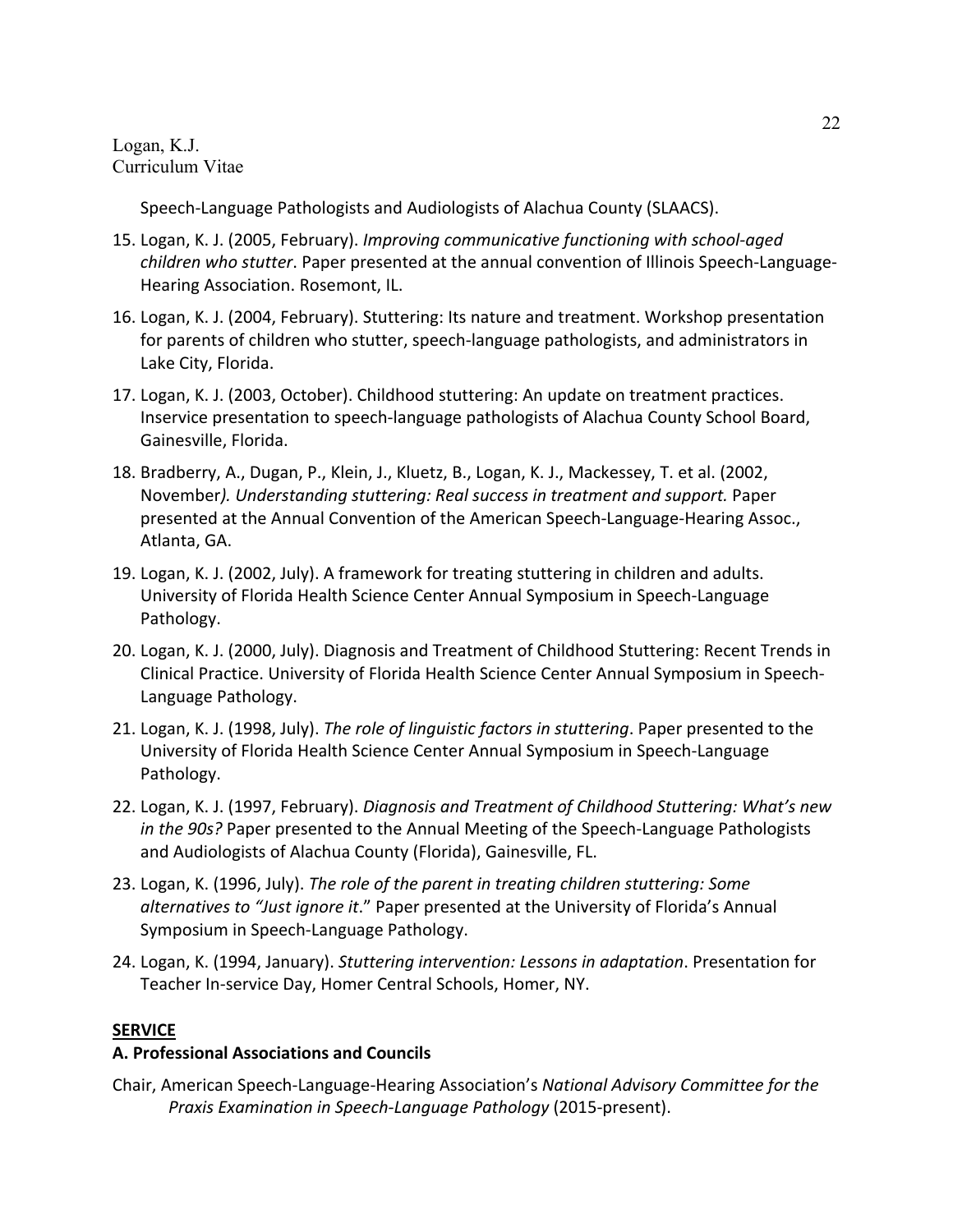Speech-Language Pathologists and Audiologists of Alachua County (SLAACS).

- 15. Logan, K. J. (2005, February). *Improving communicative functioning with school-aged children who stutter*. Paper presented at the annual convention of Illinois Speech-Language-Hearing Association. Rosemont, IL.
- 16. Logan, K. J. (2004, February). Stuttering: Its nature and treatment. Workshop presentation for parents of children who stutter, speech-language pathologists, and administrators in Lake City, Florida.
- 17. Logan, K. J. (2003, October). Childhood stuttering: An update on treatment practices. Inservice presentation to speech-language pathologists of Alachua County School Board, Gainesville, Florida.
- 18. Bradberry, A., Dugan, P., Klein, J., Kluetz, B., Logan, K. J., Mackessey, T. et al. (2002, November*). Understanding stuttering: Real success in treatment and support.* Paper presented at the Annual Convention of the American Speech-Language-Hearing Assoc., Atlanta, GA.
- 19. Logan, K. J. (2002, July). A framework for treating stuttering in children and adults. University of Florida Health Science Center Annual Symposium in Speech-Language Pathology.
- 20. Logan, K. J. (2000, July). Diagnosis and Treatment of Childhood Stuttering: Recent Trends in Clinical Practice. University of Florida Health Science Center Annual Symposium in Speech-Language Pathology.
- 21. Logan, K. J. (1998, July). *The role of linguistic factors in stuttering*. Paper presented to the University of Florida Health Science Center Annual Symposium in Speech-Language Pathology.
- 22. Logan, K. J. (1997, February). *Diagnosis and Treatment of Childhood Stuttering: What's new in the 90s?* Paper presented to the Annual Meeting of the Speech-Language Pathologists and Audiologists of Alachua County (Florida), Gainesville, FL.
- 23. Logan, K. (1996, July). *The role of the parent in treating children stuttering: Some alternatives to "Just ignore it*." Paper presented at the University of Florida's Annual Symposium in Speech-Language Pathology.
- 24. Logan, K. (1994, January). *Stuttering intervention: Lessons in adaptation*. Presentation for Teacher In-service Day, Homer Central Schools, Homer, NY.

### **SERVICE**

### **A. Professional Associations and Councils**

Chair, American Speech-Language-Hearing Association's *National Advisory Committee for the Praxis Examination in Speech-Language Pathology* (2015-present).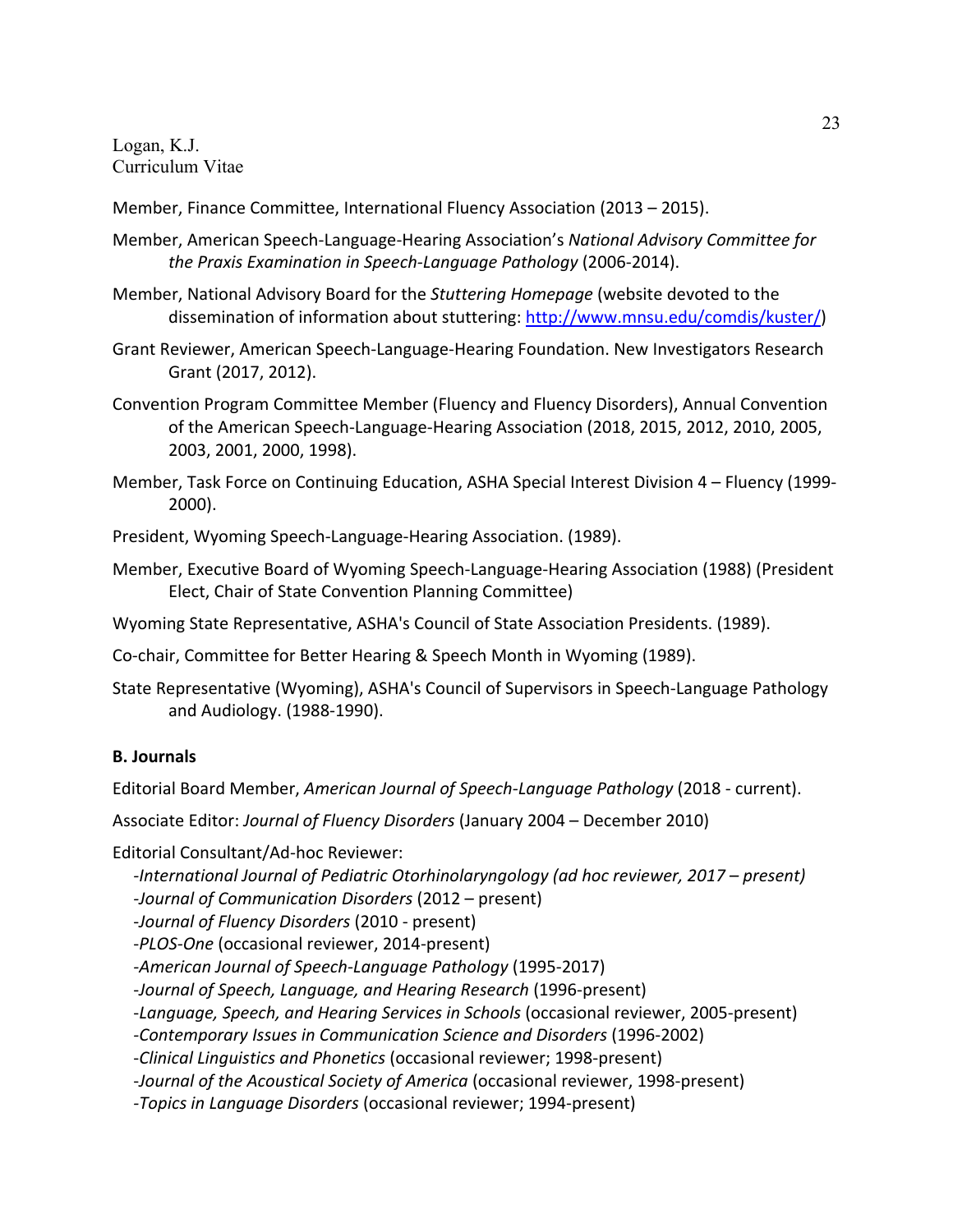Member, Finance Committee, International Fluency Association (2013 – 2015).

- Member, American Speech-Language-Hearing Association's *National Advisory Committee for the Praxis Examination in Speech-Language Pathology* (2006-2014).
- Member, National Advisory Board for the *Stuttering Homepage* (website devoted to the dissemination of information about stuttering: http://www.mnsu.edu/comdis/kuster/)
- Grant Reviewer, American Speech-Language-Hearing Foundation. New Investigators Research Grant (2017, 2012).
- Convention Program Committee Member (Fluency and Fluency Disorders), Annual Convention of the American Speech-Language-Hearing Association (2018, 2015, 2012, 2010, 2005, 2003, 2001, 2000, 1998).
- Member, Task Force on Continuing Education, ASHA Special Interest Division 4 Fluency (1999- 2000).

President, Wyoming Speech-Language-Hearing Association. (1989).

- Member, Executive Board of Wyoming Speech-Language-Hearing Association (1988) (President Elect, Chair of State Convention Planning Committee)
- Wyoming State Representative, ASHA's Council of State Association Presidents. (1989).
- Co-chair, Committee for Better Hearing & Speech Month in Wyoming (1989).
- State Representative (Wyoming), ASHA's Council of Supervisors in Speech-Language Pathology and Audiology. (1988-1990).

#### **B. Journals**

Editorial Board Member, *American Journal of Speech-Language Pathology* (2018 - current).

Associate Editor: *Journal of Fluency Disorders* (January 2004 – December 2010)

Editorial Consultant/Ad-hoc Reviewer:

*-International Journal of Pediatric Otorhinolaryngology (ad hoc reviewer, 2017 – present) -Journal of Communication Disorders* (2012 – present) -*Journal of Fluency Disorders* (2010 - present) -*PLOS-One* (occasional reviewer, 2014-present) *-American Journal of Speech-Language Pathology* (1995-2017) -*Journal of Speech, Language, and Hearing Research* (1996-present) -*Language, Speech, and Hearing Services in Schools* (occasional reviewer, 2005-present) *-Contemporary Issues in Communication Science and Disorders* (1996-2002) -*Clinical Linguistics and Phonetics* (occasional reviewer; 1998-present) -*Journal of the Acoustical Society of America* (occasional reviewer, 1998-present) *-Topics in Language Disorders* (occasional reviewer; 1994-present)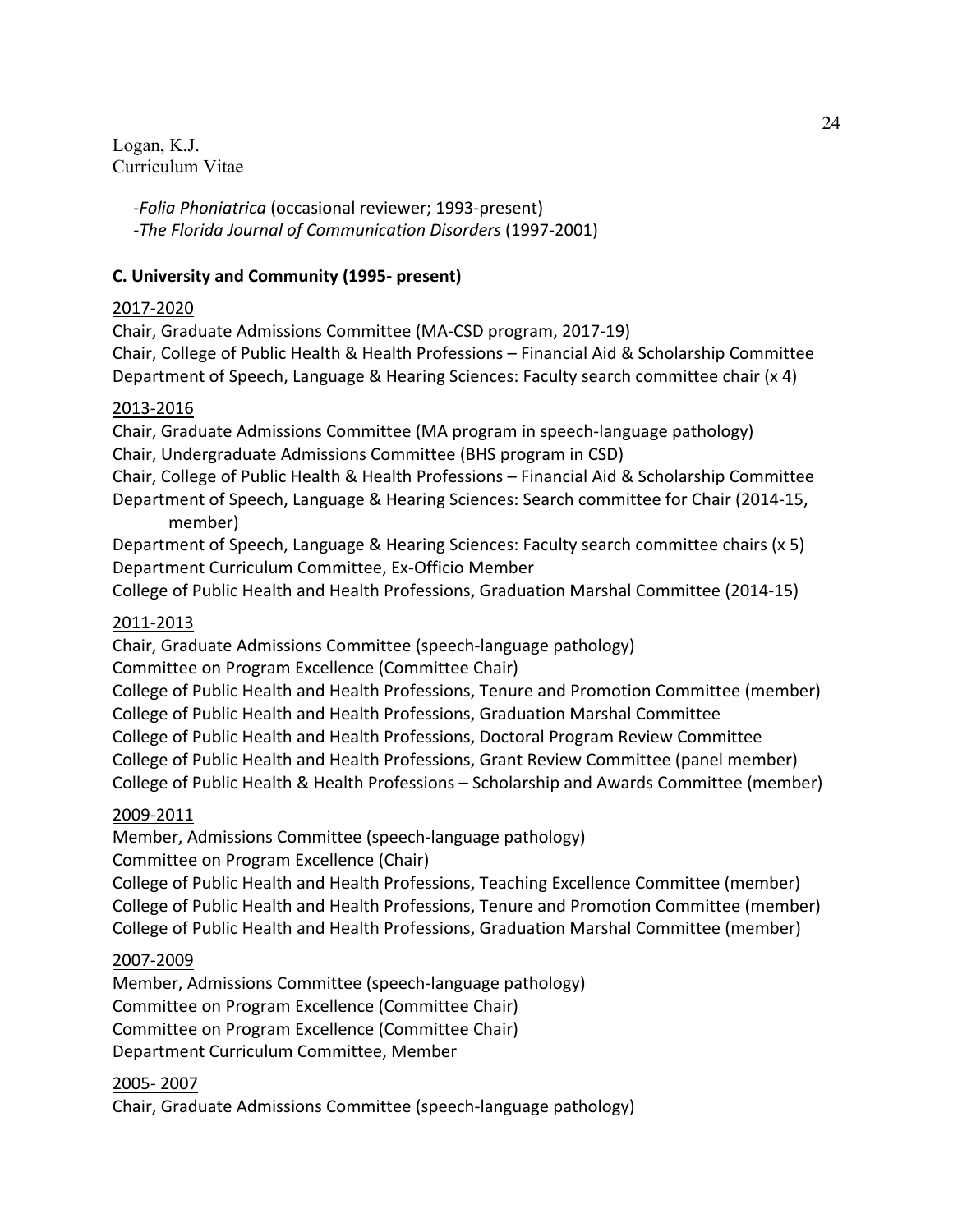> -*Folia Phoniatrica* (occasional reviewer; 1993-present) *-The Florida Journal of Communication Disorders* (1997-2001)

## **C. University and Community (1995- present)**

## 2017-2020

Chair, Graduate Admissions Committee (MA-CSD program, 2017-19) Chair, College of Public Health & Health Professions – Financial Aid & Scholarship Committee Department of Speech, Language & Hearing Sciences: Faculty search committee chair (x 4)

## 2013-2016

Chair, Graduate Admissions Committee (MA program in speech-language pathology) Chair, Undergraduate Admissions Committee (BHS program in CSD)

Chair, College of Public Health & Health Professions – Financial Aid & Scholarship Committee Department of Speech, Language & Hearing Sciences: Search committee for Chair (2014-15, member)

Department of Speech, Language & Hearing Sciences: Faculty search committee chairs (x 5) Department Curriculum Committee, Ex-Officio Member

College of Public Health and Health Professions, Graduation Marshal Committee (2014-15)

## 2011-2013

Chair, Graduate Admissions Committee (speech-language pathology)

Committee on Program Excellence (Committee Chair)

College of Public Health and Health Professions, Tenure and Promotion Committee (member) College of Public Health and Health Professions, Graduation Marshal Committee

College of Public Health and Health Professions, Doctoral Program Review Committee College of Public Health and Health Professions, Grant Review Committee (panel member) College of Public Health & Health Professions – Scholarship and Awards Committee (member)

## 2009-2011

Member, Admissions Committee (speech-language pathology)

Committee on Program Excellence (Chair)

College of Public Health and Health Professions, Teaching Excellence Committee (member) College of Public Health and Health Professions, Tenure and Promotion Committee (member) College of Public Health and Health Professions, Graduation Marshal Committee (member)

## 2007-2009

Member, Admissions Committee (speech-language pathology) Committee on Program Excellence (Committee Chair) Committee on Program Excellence (Committee Chair) Department Curriculum Committee, Member

2005- 2007

Chair, Graduate Admissions Committee (speech-language pathology)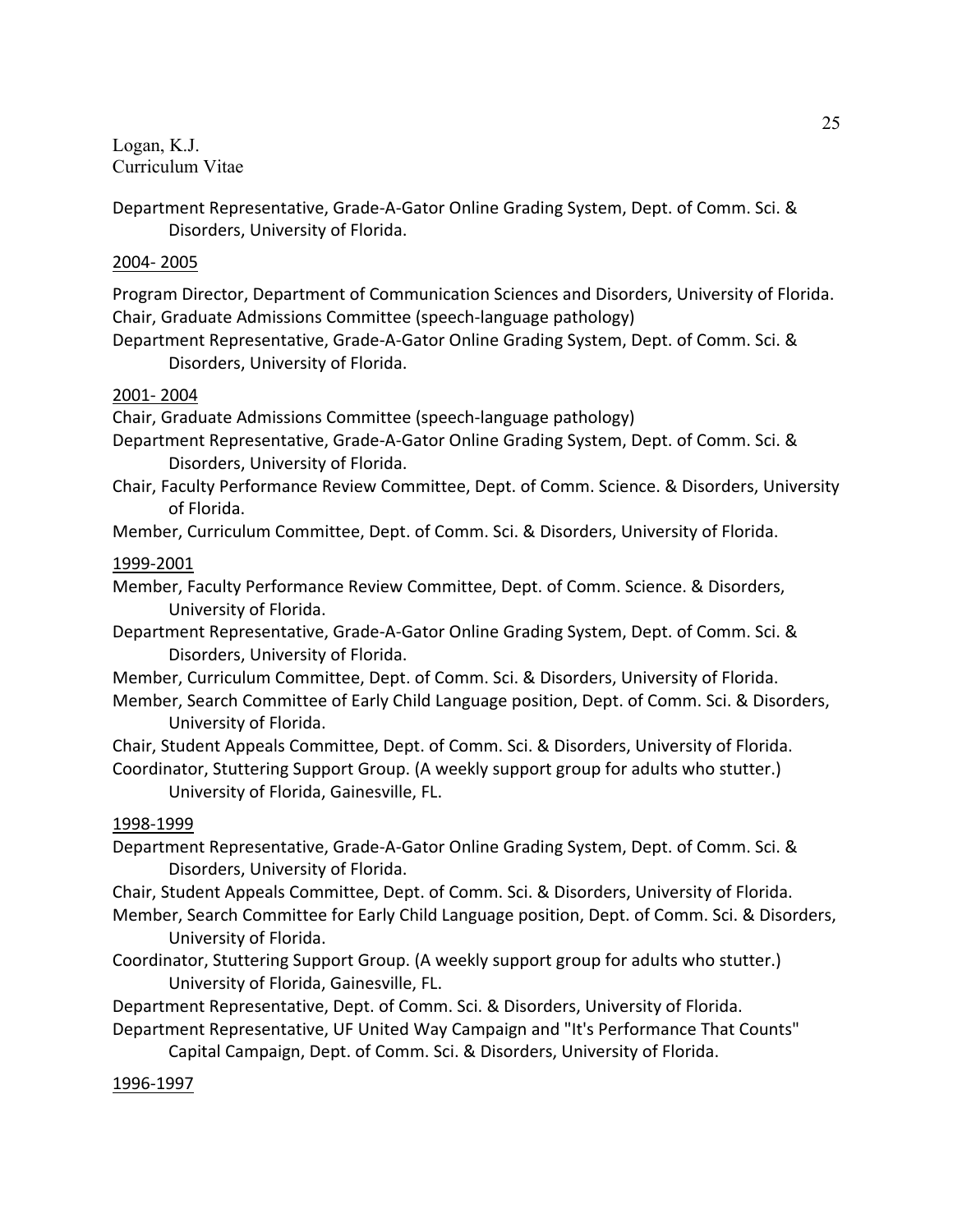Department Representative, Grade-A-Gator Online Grading System, Dept. of Comm. Sci. & Disorders, University of Florida.

### 2004- 2005

Program Director, Department of Communication Sciences and Disorders, University of Florida. Chair, Graduate Admissions Committee (speech-language pathology)

Department Representative, Grade-A-Gator Online Grading System, Dept. of Comm. Sci. & Disorders, University of Florida.

### 2001- 2004

Chair, Graduate Admissions Committee (speech-language pathology)

- Department Representative, Grade-A-Gator Online Grading System, Dept. of Comm. Sci. & Disorders, University of Florida.
- Chair, Faculty Performance Review Committee, Dept. of Comm. Science. & Disorders, University of Florida.

Member, Curriculum Committee, Dept. of Comm. Sci. & Disorders, University of Florida.

## 1999-2001

Member, Faculty Performance Review Committee, Dept. of Comm. Science. & Disorders, University of Florida.

Department Representative, Grade-A-Gator Online Grading System, Dept. of Comm. Sci. & Disorders, University of Florida.

- Member, Curriculum Committee, Dept. of Comm. Sci. & Disorders, University of Florida.
- Member, Search Committee of Early Child Language position, Dept. of Comm. Sci. & Disorders, University of Florida.

Chair, Student Appeals Committee, Dept. of Comm. Sci. & Disorders, University of Florida. Coordinator, Stuttering Support Group. (A weekly support group for adults who stutter.)

University of Florida, Gainesville, FL.

## 1998-1999

Department Representative, Grade-A-Gator Online Grading System, Dept. of Comm. Sci. & Disorders, University of Florida.

Chair, Student Appeals Committee, Dept. of Comm. Sci. & Disorders, University of Florida.

Member, Search Committee for Early Child Language position, Dept. of Comm. Sci. & Disorders, University of Florida.

Coordinator, Stuttering Support Group. (A weekly support group for adults who stutter.) University of Florida, Gainesville, FL.

Department Representative, Dept. of Comm. Sci. & Disorders, University of Florida.

Department Representative, UF United Way Campaign and "It's Performance That Counts"

Capital Campaign, Dept. of Comm. Sci. & Disorders, University of Florida.

1996-1997